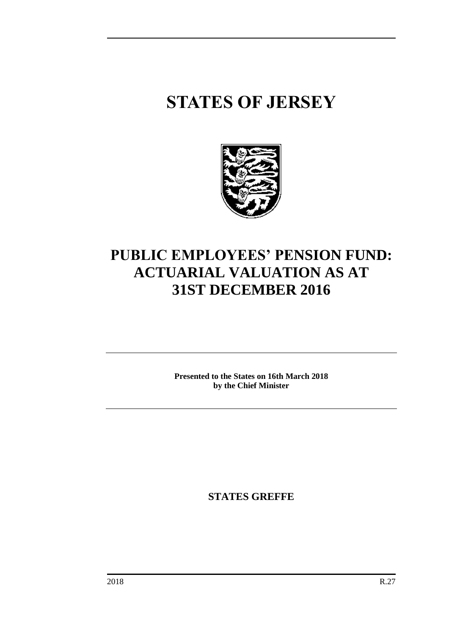# **STATES OF JERSEY**



### **PUBLIC EMPLOYEES' PENSION FUND: ACTUARIAL VALUATION AS AT 31ST DECEMBER 2016**

**Presented to the States on 16th March 2018 by the Chief Minister**

**STATES GREFFE**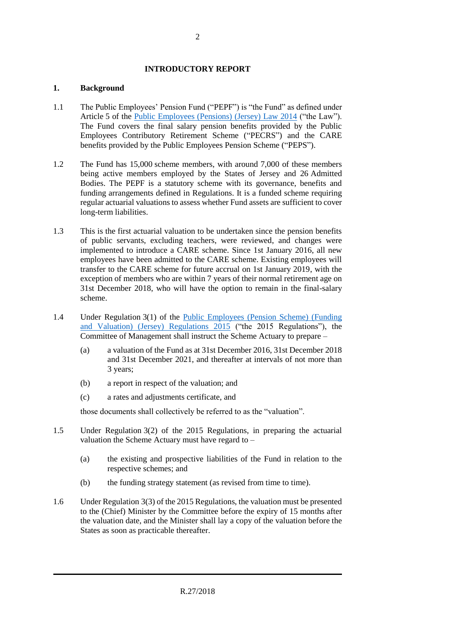#### **INTRODUCTORY REPORT**

#### **1. Background**

- 1.1 The Public Employees' Pension Fund ("PEPF") is "the Fund" as defined under Article 5 of the [Public Employees \(Pensions\) \(Jersey\) Law 2014](https://www.jerseylaw.je/laws/revised/Pages/16.640.aspx) ("the Law"). The Fund covers the final salary pension benefits provided by the Public Employees Contributory Retirement Scheme ("PECRS") and the CARE benefits provided by the Public Employees Pension Scheme ("PEPS").
- 1.2 The Fund has 15,000 scheme members, with around 7,000 of these members being active members employed by the States of Jersey and 26 Admitted Bodies. The PEPF is a statutory scheme with its governance, benefits and funding arrangements defined in Regulations. It is a funded scheme requiring regular actuarial valuations to assess whether Fund assets are sufficient to cover long-term liabilities.
- 1.3 This is the first actuarial valuation to be undertaken since the pension benefits of public servants, excluding teachers, were reviewed, and changes were implemented to introduce a CARE scheme. Since 1st January 2016, all new employees have been admitted to the CARE scheme. Existing employees will transfer to the CARE scheme for future accrual on 1st January 2019, with the exception of members who are within 7 years of their normal retirement age on 31st December 2018, who will have the option to remain in the final-salary scheme.
- 1.4 Under Regulation 3(1) of the [Public Employees \(Pension Scheme\) \(Funding](https://www.jerseylaw.je/laws/revised/Pages/16.640.20.aspx)  [and Valuation\) \(Jersey\) Regulations 2015](https://www.jerseylaw.je/laws/revised/Pages/16.640.20.aspx) ("the 2015 Regulations"), the Committee of Management shall instruct the Scheme Actuary to prepare –
	- (a) a valuation of the Fund as at 31st December 2016, 31st December 2018 and 31st December 2021, and thereafter at intervals of not more than 3 years;
	- (b) a report in respect of the valuation; and
	- (c) a rates and adjustments certificate, and

those documents shall collectively be referred to as the "valuation".

- 1.5 Under Regulation 3(2) of the 2015 Regulations, in preparing the actuarial valuation the Scheme Actuary must have regard to –
	- (a) the existing and prospective liabilities of the Fund in relation to the respective schemes; and
	- (b) the funding strategy statement (as revised from time to time).
- 1.6 Under Regulation 3(3) of the 2015 Regulations, the valuation must be presented to the (Chief) Minister by the Committee before the expiry of 15 months after the valuation date, and the Minister shall lay a copy of the valuation before the States as soon as practicable thereafter.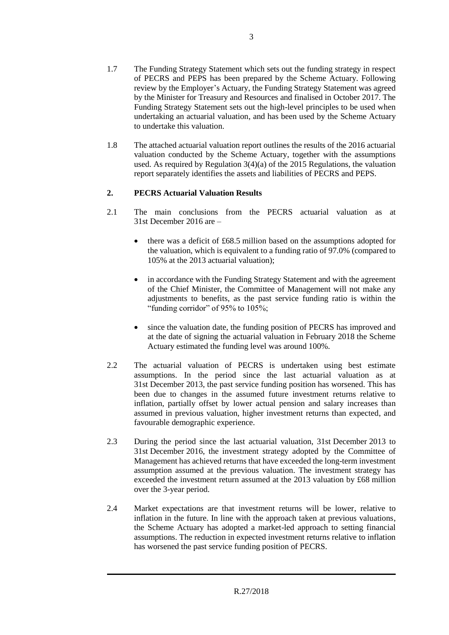- 1.7 The Funding Strategy Statement which sets out the funding strategy in respect of PECRS and PEPS has been prepared by the Scheme Actuary. Following review by the Employer's Actuary, the Funding Strategy Statement was agreed by the Minister for Treasury and Resources and finalised in October 2017. The Funding Strategy Statement sets out the high-level principles to be used when undertaking an actuarial valuation, and has been used by the Scheme Actuary to undertake this valuation.
- 1.8 The attached actuarial valuation report outlines the results of the 2016 actuarial valuation conducted by the Scheme Actuary, together with the assumptions used. As required by Regulation 3(4)(a) of the 2015 Regulations, the valuation report separately identifies the assets and liabilities of PECRS and PEPS.

#### **2. PECRS Actuarial Valuation Results**

- 2.1 The main conclusions from the PECRS actuarial valuation as at 31st December 2016 are –
	- there was a deficit of £68.5 million based on the assumptions adopted for the valuation, which is equivalent to a funding ratio of 97.0% (compared to 105% at the 2013 actuarial valuation);
	- in accordance with the Funding Strategy Statement and with the agreement of the Chief Minister, the Committee of Management will not make any adjustments to benefits, as the past service funding ratio is within the "funding corridor" of 95% to 105%;
	- since the valuation date, the funding position of PECRS has improved and at the date of signing the actuarial valuation in February 2018 the Scheme Actuary estimated the funding level was around 100%.
- 2.2 The actuarial valuation of PECRS is undertaken using best estimate assumptions. In the period since the last actuarial valuation as at 31st December 2013, the past service funding position has worsened. This has been due to changes in the assumed future investment returns relative to inflation, partially offset by lower actual pension and salary increases than assumed in previous valuation, higher investment returns than expected, and favourable demographic experience.
- 2.3 During the period since the last actuarial valuation, 31st December 2013 to 31st December 2016, the investment strategy adopted by the Committee of Management has achieved returns that have exceeded the long-term investment assumption assumed at the previous valuation. The investment strategy has exceeded the investment return assumed at the 2013 valuation by £68 million over the 3-year period.
- 2.4 Market expectations are that investment returns will be lower, relative to inflation in the future. In line with the approach taken at previous valuations, the Scheme Actuary has adopted a market-led approach to setting financial assumptions. The reduction in expected investment returns relative to inflation has worsened the past service funding position of PECRS.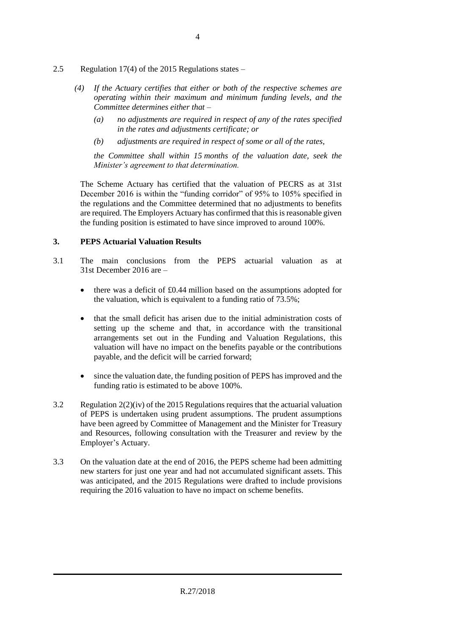- 2.5 Regulation 17(4) of the 2015 Regulations states
	- *(4) If the Actuary certifies that either or both of the respective schemes are operating within their maximum and minimum funding levels, and the Committee determines either that –*
		- *(a) no adjustments are required in respect of any of the rates specified in the rates and adjustments certificate; or*
		- *(b) adjustments are required in respect of some or all of the rates,*

*the Committee shall within 15 months of the valuation date, seek the Minister's agreement to that determination.*

The Scheme Actuary has certified that the valuation of PECRS as at 31st December 2016 is within the "funding corridor" of 95% to 105% specified in the regulations and the Committee determined that no adjustments to benefits are required. The Employers Actuary has confirmed that this is reasonable given the funding position is estimated to have since improved to around 100%.

#### **3. PEPS Actuarial Valuation Results**

- 3.1 The main conclusions from the PEPS actuarial valuation as at 31st December 2016 are –
	- there was a deficit of £0.44 million based on the assumptions adopted for the valuation, which is equivalent to a funding ratio of 73.5%;
	- that the small deficit has arisen due to the initial administration costs of setting up the scheme and that, in accordance with the transitional arrangements set out in the Funding and Valuation Regulations, this valuation will have no impact on the benefits payable or the contributions payable, and the deficit will be carried forward;
	- since the valuation date, the funding position of PEPS has improved and the funding ratio is estimated to be above 100%.
- 3.2 Regulation 2(2)(iv) of the 2015 Regulations requires that the actuarial valuation of PEPS is undertaken using prudent assumptions. The prudent assumptions have been agreed by Committee of Management and the Minister for Treasury and Resources, following consultation with the Treasurer and review by the Employer's Actuary.
- 3.3 On the valuation date at the end of 2016, the PEPS scheme had been admitting new starters for just one year and had not accumulated significant assets. This was anticipated, and the 2015 Regulations were drafted to include provisions requiring the 2016 valuation to have no impact on scheme benefits.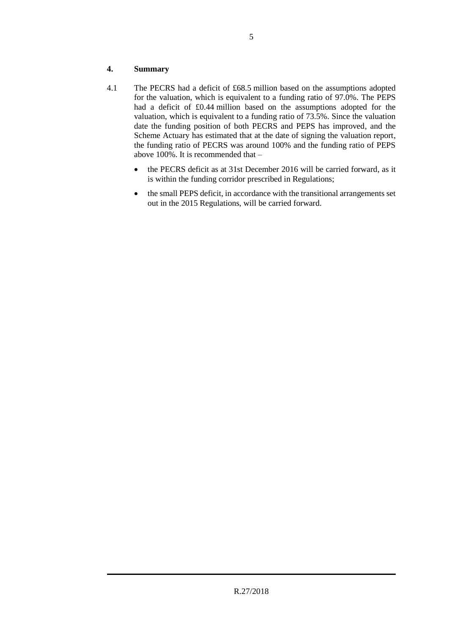#### **4. Summary**

- 4.1 The PECRS had a deficit of £68.5 million based on the assumptions adopted for the valuation, which is equivalent to a funding ratio of 97.0%. The PEPS had a deficit of £0.44 million based on the assumptions adopted for the valuation, which is equivalent to a funding ratio of 73.5%. Since the valuation date the funding position of both PECRS and PEPS has improved, and the Scheme Actuary has estimated that at the date of signing the valuation report, the funding ratio of PECRS was around 100% and the funding ratio of PEPS above 100%. It is recommended that –
	- the PECRS deficit as at 31st December 2016 will be carried forward, as it is within the funding corridor prescribed in Regulations;
	- the small PEPS deficit, in accordance with the transitional arrangements set out in the 2015 Regulations, will be carried forward.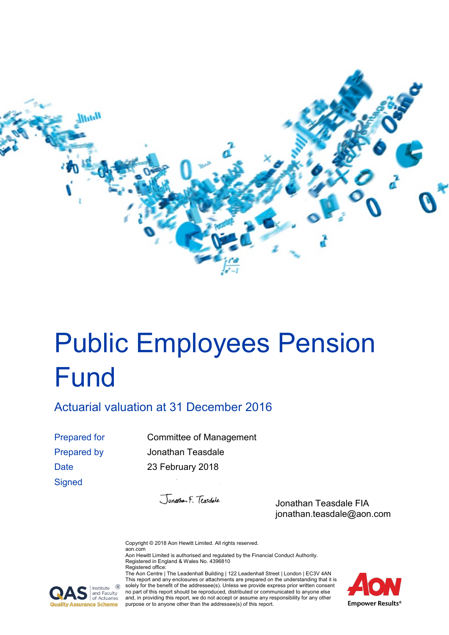

# <span id="page-6-0"></span>Public Employees Pension Fund

<span id="page-6-1"></span>Actuarial valuation at 31 December 2016

**Signed** 

Prepared for Committee of Management Prepared by Jonathan Teasdale Date 23 February 2018

Jonathan F. Teasdale

Jonathan Teasdale FIA jonathan.teasdale@aon.com

Copyright © 2018 Aon Hewitt Limited. All rights reserved. aon.com Aon Hewitt Limited is authorised and regulated by the Financial Conduct Authority. Registered in England & Wales No. 4396810 Registered office:

The Aon Centre | The Leadenhall Building | 122 Leadenhall Street | London | EC3V 4AN This report and any enclosures or attachments are prepared on the understanding that it is solely for the benefit of the addressee(s). Unless we provide express prior written consent no part of this report should be reproduced, distributed or communicated to anyone else and, in providing this report, we do not accept or assume any responsibility for any other purpose or to anyone other than the addressee(s) of this report.



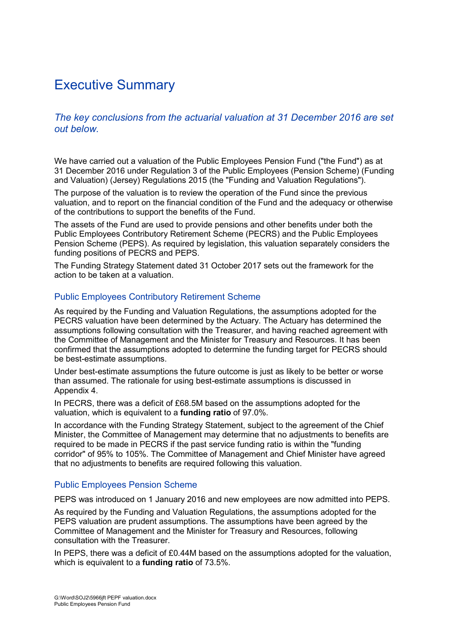### Executive Summary

#### *The key conclusions from the actuarial valuation at 31 December 2016 are set out below.*

We have carried out a valuation of the Public Employees Pension Fund ("the Fund") as at 31 December 2016 under Regulation 3 of the Public Employees (Pension Scheme) (Funding and Valuation) (Jersey) Regulations 2015 (the "Funding and Valuation Regulations").

The purpose of the valuation is to review the operation of the Fund since the previous valuation, and to report on the financial condition of the Fund and the adequacy or otherwise of the contributions to support the benefits of the Fund.

The assets of the Fund are used to provide pensions and other benefits under both the Public Employees Contributory Retirement Scheme (PECRS) and the Public Employees Pension Scheme (PEPS). As required by legislation, this valuation separately considers the funding positions of PECRS and PEPS.

The Funding Strategy Statement dated 31 October 2017 sets out the framework for the action to be taken at a valuation.

#### Public Employees Contributory Retirement Scheme

As required by the Funding and Valuation Regulations, the assumptions adopted for the PECRS valuation have been determined by the Actuary. The Actuary has determined the assumptions following consultation with the Treasurer, and having reached agreement with the Committee of Management and the Minister for Treasury and Resources. It has been confirmed that the assumptions adopted to determine the funding target for PECRS should be best-estimate assumptions.

Under best-estimate assumptions the future outcome is just as likely to be better or worse than assumed. The rationale for using best-estimate assumptions is discussed in Appendix 4.

In PECRS, there was a deficit of £68.5M based on the assumptions adopted for the valuation, which is equivalent to a **funding ratio** of 97.0%.

In accordance with the Funding Strategy Statement, subject to the agreement of the Chief Minister, the Committee of Management may determine that no adjustments to benefits are required to be made in PECRS if the past service funding ratio is within the "funding corridor" of 95% to 105%. The Committee of Management and Chief Minister have agreed that no adjustments to benefits are required following this valuation.

#### Public Employees Pension Scheme

PEPS was introduced on 1 January 2016 and new employees are now admitted into PEPS.

As required by the Funding and Valuation Regulations, the assumptions adopted for the PEPS valuation are prudent assumptions. The assumptions have been agreed by the Committee of Management and the Minister for Treasury and Resources, following consultation with the Treasurer.

In PEPS, there was a deficit of £0.44M based on the assumptions adopted for the valuation, which is equivalent to a **funding ratio** of 73.5%.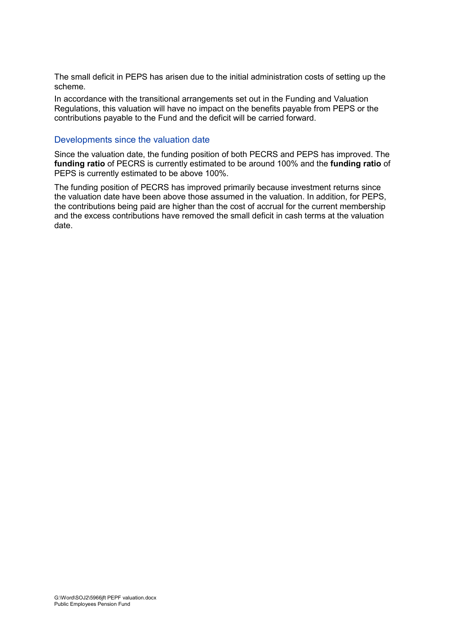The small deficit in PEPS has arisen due to the initial administration costs of setting up the scheme.

In accordance with the transitional arrangements set out in the Funding and Valuation Regulations, this valuation will have no impact on the benefits payable from PEPS or the contributions payable to the Fund and the deficit will be carried forward.

#### Developments since the valuation date

Since the valuation date, the funding position of both PECRS and PEPS has improved. The **funding ratio** of PECRS is currently estimated to be around 100% and the **funding ratio** of PEPS is currently estimated to be above 100%.

The funding position of PECRS has improved primarily because investment returns since the valuation date have been above those assumed in the valuation. In addition, for PEPS, the contributions being paid are higher than the cost of accrual for the current membership and the excess contributions have removed the small deficit in cash terms at the valuation date.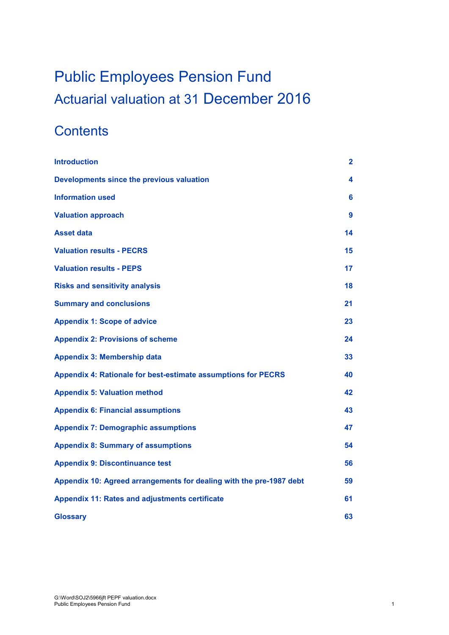## [Public Employees Pension Fund](#page-6-0) [Actuarial valuation at 31](#page-6-1) December 2016

### **Contents**

| <b>Introduction</b>                                                 | 2  |
|---------------------------------------------------------------------|----|
| Developments since the previous valuation                           | 4  |
| <b>Information used</b>                                             | 6  |
| <b>Valuation approach</b>                                           | 9  |
| <b>Asset data</b>                                                   | 14 |
| <b>Valuation results - PECRS</b>                                    | 15 |
| <b>Valuation results - PEPS</b>                                     | 17 |
| <b>Risks and sensitivity analysis</b>                               | 18 |
| <b>Summary and conclusions</b>                                      | 21 |
| <b>Appendix 1: Scope of advice</b>                                  | 23 |
| <b>Appendix 2: Provisions of scheme</b>                             | 24 |
| <b>Appendix 3: Membership data</b>                                  | 33 |
| Appendix 4: Rationale for best-estimate assumptions for PECRS       | 40 |
| <b>Appendix 5: Valuation method</b>                                 | 42 |
| <b>Appendix 6: Financial assumptions</b>                            | 43 |
| <b>Appendix 7: Demographic assumptions</b>                          | 47 |
| <b>Appendix 8: Summary of assumptions</b>                           | 54 |
| <b>Appendix 9: Discontinuance test</b>                              | 56 |
| Appendix 10: Agreed arrangements for dealing with the pre-1987 debt | 59 |
| <b>Appendix 11: Rates and adjustments certificate</b>               | 61 |
| <b>Glossary</b>                                                     | 63 |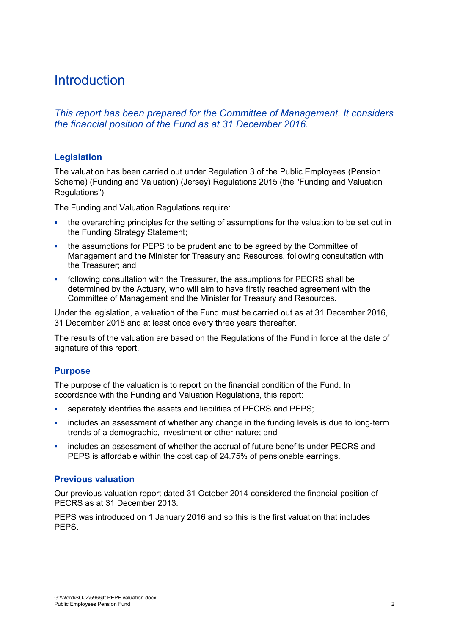### <span id="page-10-0"></span>**Introduction**

*This report has been prepared for the Committee of Management. It considers the financial position of the Fund as at 31 December 2016.*

#### **Legislation**

The valuation has been carried out under Regulation 3 of the Public Employees (Pension Scheme) (Funding and Valuation) (Jersey) Regulations 2015 (the "Funding and Valuation Regulations").

The Funding and Valuation Regulations require:

- the overarching principles for the setting of assumptions for the valuation to be set out in the Funding Strategy Statement;
- the assumptions for PEPS to be prudent and to be agreed by the Committee of Management and the Minister for Treasury and Resources, following consultation with the Treasurer; and
- following consultation with the Treasurer, the assumptions for PECRS shall be determined by the Actuary, who will aim to have firstly reached agreement with the Committee of Management and the Minister for Treasury and Resources.

Under the legislation, a valuation of the Fund must be carried out as at 31 December 2016, 31 December 2018 and at least once every three years thereafter.

The results of the valuation are based on the Regulations of the Fund in force at the date of signature of this report.

#### **Purpose**

The purpose of the valuation is to report on the financial condition of the Fund. In accordance with the Funding and Valuation Regulations, this report:

- separately identifies the assets and liabilities of PECRS and PEPS;
- includes an assessment of whether any change in the funding levels is due to long-term trends of a demographic, investment or other nature; and
- includes an assessment of whether the accrual of future benefits under PECRS and PEPS is affordable within the cost cap of 24.75% of pensionable earnings.

#### **Previous valuation**

Our previous valuation report dated 31 October 2014 considered the financial position of PECRS as at 31 December 2013.

PEPS was introduced on 1 January 2016 and so this is the first valuation that includes PEPS.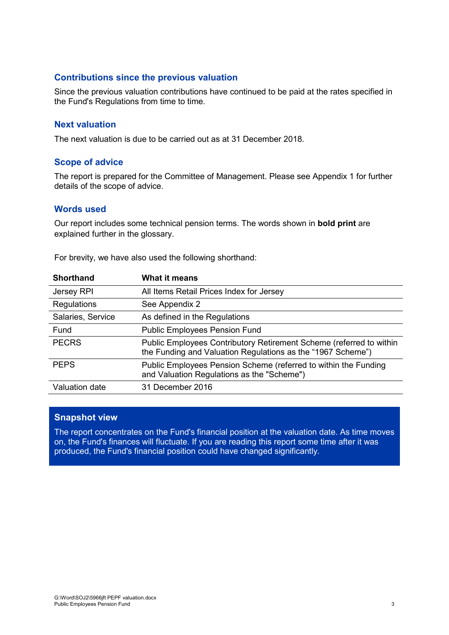#### **Contributions since the previous valuation**

Since the previous valuation contributions have continued to be paid at the rates specified in the Fund's Regulations from time to time.

#### **Next valuation**

The next valuation is due to be carried out as at 31 December 2018.

#### **Scope of advice**

The report is prepared for the Committee of Management. Please see Appendix 1 for further details of the scope of advice.

#### **Words used**

Our report includes some technical pension terms. The words shown in **bold print** are explained further in the glossary.

For brevity, we have also used the following shorthand:

| All Items Retail Prices Index for Jersey                                                                                           |
|------------------------------------------------------------------------------------------------------------------------------------|
| See Appendix 2                                                                                                                     |
| As defined in the Regulations                                                                                                      |
| <b>Public Employees Pension Fund</b>                                                                                               |
| Public Employees Contributory Retirement Scheme (referred to within<br>the Funding and Valuation Regulations as the "1967 Scheme") |
| Public Employees Pension Scheme (referred to within the Funding<br>and Valuation Regulations as the "Scheme")                      |
| 31 December 2016                                                                                                                   |
|                                                                                                                                    |

#### **Snapshot view**

The report concentrates on the Fund's financial position at the valuation date. As time moves on, the Fund's finances will fluctuate. If you are reading this report some time after it was produced, the Fund's financial position could have changed significantly.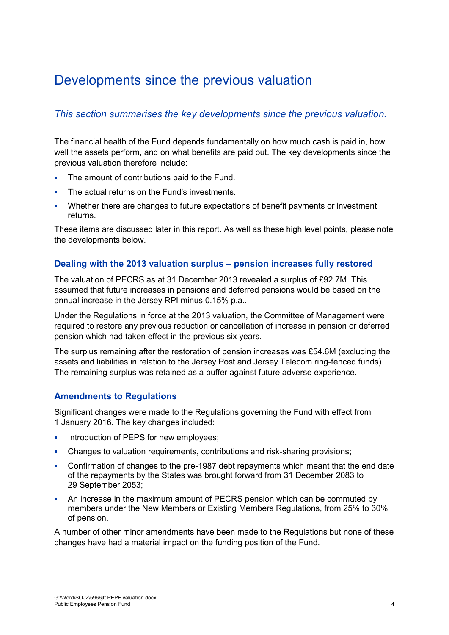### <span id="page-12-0"></span>Developments since the previous valuation

#### *This section summarises the key developments since the previous valuation.*

The financial health of the Fund depends fundamentally on how much cash is paid in, how well the assets perform, and on what benefits are paid out. The key developments since the previous valuation therefore include:

- The amount of contributions paid to the Fund.
- The actual returns on the Fund's investments.
- Whether there are changes to future expectations of benefit payments or investment returns.

These items are discussed later in this report. As well as these high level points, please note the developments below.

#### **Dealing with the 2013 valuation surplus – pension increases fully restored**

The valuation of PECRS as at 31 December 2013 revealed a surplus of £92.7M. This assumed that future increases in pensions and deferred pensions would be based on the annual increase in the Jersey RPI minus 0.15% p.a..

Under the Regulations in force at the 2013 valuation, the Committee of Management were required to restore any previous reduction or cancellation of increase in pension or deferred pension which had taken effect in the previous six years.

The surplus remaining after the restoration of pension increases was £54.6M (excluding the assets and liabilities in relation to the Jersey Post and Jersey Telecom ring-fenced funds). The remaining surplus was retained as a buffer against future adverse experience.

#### **Amendments to Regulations**

Significant changes were made to the Regulations governing the Fund with effect from 1 January 2016. The key changes included:

- **Introduction of PEPS for new employees;**
- Changes to valuation requirements, contributions and risk-sharing provisions;
- Confirmation of changes to the pre-1987 debt repayments which meant that the end date of the repayments by the States was brought forward from 31 December 2083 to 29 September 2053;
- An increase in the maximum amount of PECRS pension which can be commuted by members under the New Members or Existing Members Regulations, from 25% to 30% of pension.

A number of other minor amendments have been made to the Regulations but none of these changes have had a material impact on the funding position of the Fund.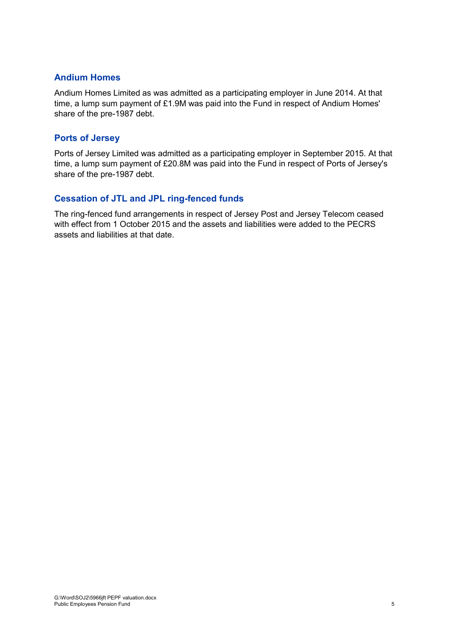#### **Andium Homes**

Andium Homes Limited as was admitted as a participating employer in June 2014. At that time, a lump sum payment of £1.9M was paid into the Fund in respect of Andium Homes' share of the pre-1987 debt.

#### **Ports of Jersey**

Ports of Jersey Limited was admitted as a participating employer in September 2015. At that time, a lump sum payment of £20.8M was paid into the Fund in respect of Ports of Jersey's share of the pre-1987 debt.

#### **Cessation of JTL and JPL ring-fenced funds**

The ring-fenced fund arrangements in respect of Jersey Post and Jersey Telecom ceased with effect from 1 October 2015 and the assets and liabilities were added to the PECRS assets and liabilities at that date.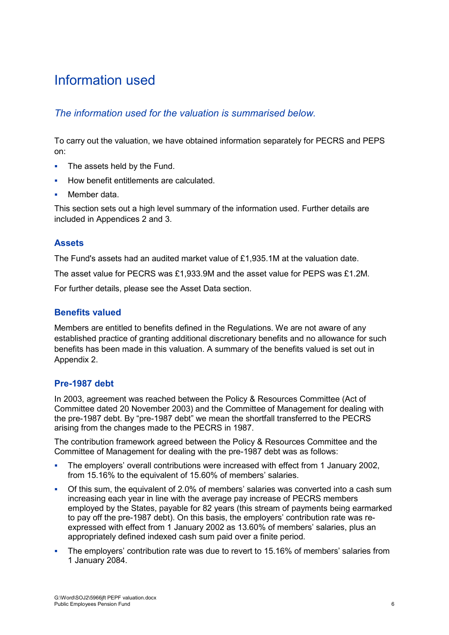### <span id="page-14-0"></span>Information used

#### *The information used for the valuation is summarised below.*

To carry out the valuation, we have obtained information separately for PECRS and PEPS on:

- The assets held by the Fund.
- How benefit entitlements are calculated.
- Member data.

This section sets out a high level summary of the information used. Further details are included in Appendices 2 and 3.

#### **Assets**

The Fund's assets had an audited market value of £1,935.1M at the valuation date.

The asset value for PECRS was £1,933.9M and the asset value for PEPS was £1.2M.

For further details, please see the Asset Data section.

#### **Benefits valued**

Members are entitled to benefits defined in the Regulations. We are not aware of any established practice of granting additional discretionary benefits and no allowance for such benefits has been made in this valuation. A summary of the benefits valued is set out in Appendix 2.

#### **Pre-1987 debt**

In 2003, agreement was reached between the Policy & Resources Committee (Act of Committee dated 20 November 2003) and the Committee of Management for dealing with the pre-1987 debt. By "pre-1987 debt" we mean the shortfall transferred to the PECRS arising from the changes made to the PECRS in 1987.

The contribution framework agreed between the Policy & Resources Committee and the Committee of Management for dealing with the pre-1987 debt was as follows:

- The employers' overall contributions were increased with effect from 1 January 2002, from 15.16% to the equivalent of 15.60% of members' salaries.
- Of this sum, the equivalent of 2.0% of members' salaries was converted into a cash sum increasing each year in line with the average pay increase of PECRS members employed by the States, payable for 82 years (this stream of payments being earmarked to pay off the pre-1987 debt). On this basis, the employers' contribution rate was reexpressed with effect from 1 January 2002 as 13.60% of members' salaries, plus an appropriately defined indexed cash sum paid over a finite period.
- The employers' contribution rate was due to revert to 15.16% of members' salaries from 1 January 2084.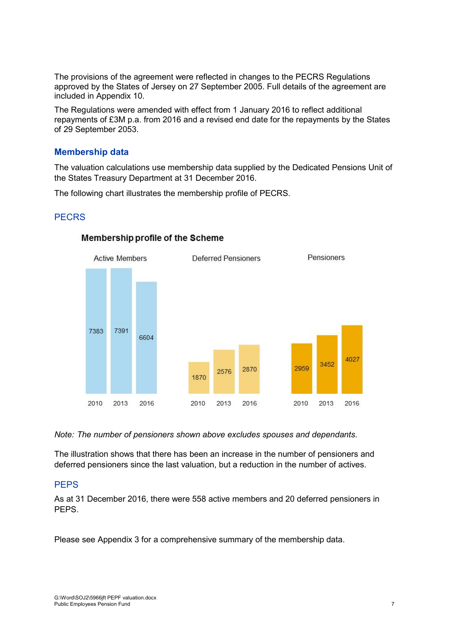The provisions of the agreement were reflected in changes to the PECRS Regulations approved by the States of Jersey on 27 September 2005. Full details of the agreement are included in Appendix 10.

The Regulations were amended with effect from 1 January 2016 to reflect additional repayments of £3M p.a. from 2016 and a revised end date for the repayments by the States of 29 September 2053.

#### **Membership data**

The valuation calculations use membership data supplied by the Dedicated Pensions Unit of the States Treasury Department at 31 December 2016.

The following chart illustrates the membership profile of PECRS.

#### **PECRS**



#### Membership profile of the Scheme

*Note: The number of pensioners shown above excludes spouses and dependants.*

The illustration shows that there has been an increase in the number of pensioners and deferred pensioners since the last valuation, but a reduction in the number of actives.

#### **PEPS**

As at 31 December 2016, there were 558 active members and 20 deferred pensioners in PEPS.

Please see Appendix 3 for a comprehensive summary of the membership data.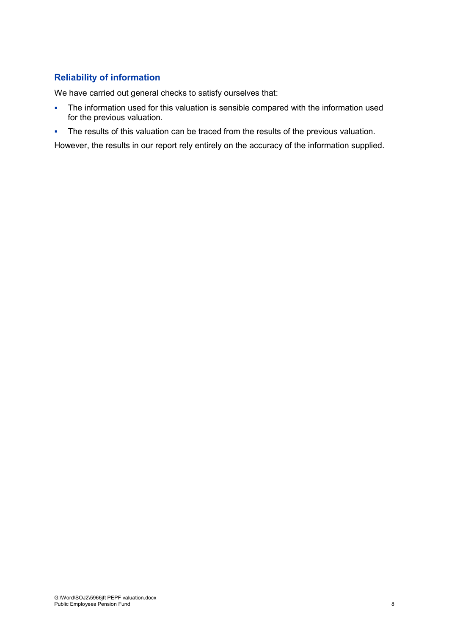#### **Reliability of information**

We have carried out general checks to satisfy ourselves that:

- The information used for this valuation is sensible compared with the information used for the previous valuation.
- The results of this valuation can be traced from the results of the previous valuation.

However, the results in our report rely entirely on the accuracy of the information supplied.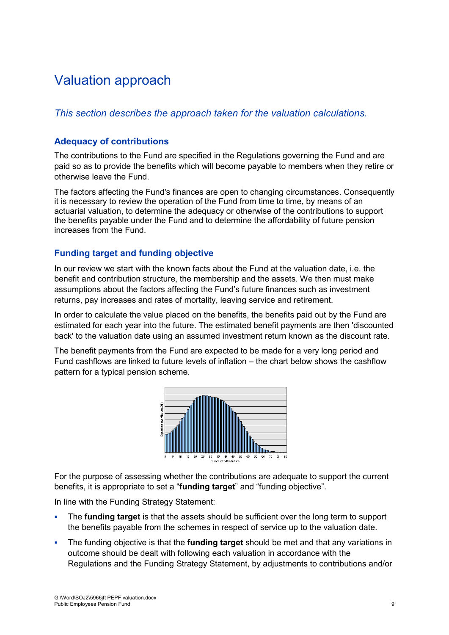### <span id="page-17-0"></span>Valuation approach

#### *This section describes the approach taken for the valuation calculations.*

#### **Adequacy of contributions**

The contributions to the Fund are specified in the Regulations governing the Fund and are paid so as to provide the benefits which will become payable to members when they retire or otherwise leave the Fund.

The factors affecting the Fund's finances are open to changing circumstances. Consequently it is necessary to review the operation of the Fund from time to time, by means of an actuarial valuation, to determine the adequacy or otherwise of the contributions to support the benefits payable under the Fund and to determine the affordability of future pension increases from the Fund.

#### **Funding target and funding objective**

In our review we start with the known facts about the Fund at the valuation date, i.e. the benefit and contribution structure, the membership and the assets. We then must make assumptions about the factors affecting the Fund's future finances such as investment returns, pay increases and rates of mortality, leaving service and retirement.

In order to calculate the value placed on the benefits, the benefits paid out by the Fund are estimated for each year into the future. The estimated benefit payments are then 'discounted back' to the valuation date using an assumed investment return known as the discount rate.

The benefit payments from the Fund are expected to be made for a very long period and Fund cashflows are linked to future levels of inflation – the chart below shows the cashflow pattern for a typical pension scheme.



For the purpose of assessing whether the contributions are adequate to support the current benefits, it is appropriate to set a "**funding target**" and "funding objective".

In line with the Funding Strategy Statement:

- The **funding target** is that the assets should be sufficient over the long term to support the benefits payable from the schemes in respect of service up to the valuation date.
- The funding objective is that the **funding target** should be met and that any variations in outcome should be dealt with following each valuation in accordance with the Regulations and the Funding Strategy Statement, by adjustments to contributions and/or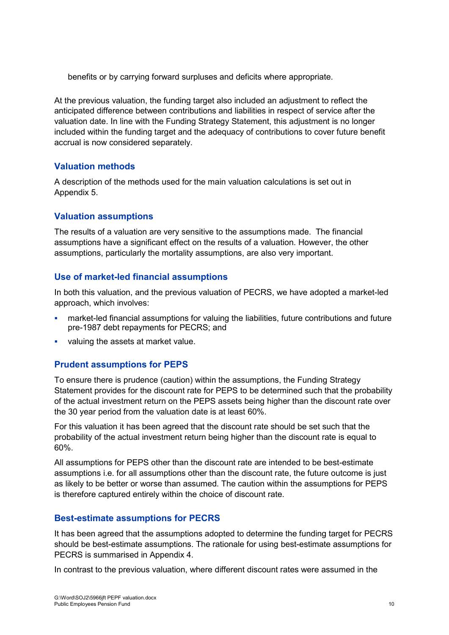benefits or by carrying forward surpluses and deficits where appropriate.

At the previous valuation, the funding target also included an adjustment to reflect the anticipated difference between contributions and liabilities in respect of service after the valuation date. In line with the Funding Strategy Statement, this adjustment is no longer included within the funding target and the adequacy of contributions to cover future benefit accrual is now considered separately.

#### **Valuation methods**

A description of the methods used for the main valuation calculations is set out in Appendix 5.

#### **Valuation assumptions**

The results of a valuation are very sensitive to the assumptions made. The financial assumptions have a significant effect on the results of a valuation. However, the other assumptions, particularly the mortality assumptions, are also very important.

#### **Use of market-led financial assumptions**

In both this valuation, and the previous valuation of PECRS, we have adopted a market-led approach, which involves:

- market-led financial assumptions for valuing the liabilities, future contributions and future pre-1987 debt repayments for PECRS; and
- valuing the assets at market value.

#### **Prudent assumptions for PEPS**

To ensure there is prudence (caution) within the assumptions, the Funding Strategy Statement provides for the discount rate for PEPS to be determined such that the probability of the actual investment return on the PEPS assets being higher than the discount rate over the 30 year period from the valuation date is at least 60%.

For this valuation it has been agreed that the discount rate should be set such that the probability of the actual investment return being higher than the discount rate is equal to 60%.

All assumptions for PEPS other than the discount rate are intended to be best-estimate assumptions i.e. for all assumptions other than the discount rate, the future outcome is just as likely to be better or worse than assumed. The caution within the assumptions for PEPS is therefore captured entirely within the choice of discount rate.

#### **Best-estimate assumptions for PECRS**

It has been agreed that the assumptions adopted to determine the funding target for PECRS should be best-estimate assumptions. The rationale for using best-estimate assumptions for PECRS is summarised in Appendix 4.

In contrast to the previous valuation, where different discount rates were assumed in the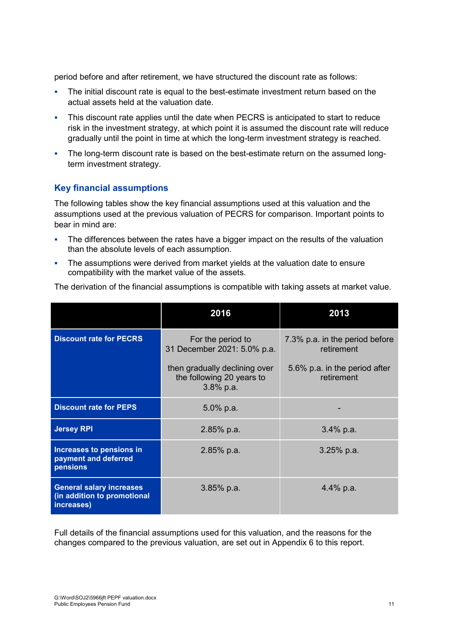period before and after retirement, we have structured the discount rate as follows:

- The initial discount rate is equal to the best-estimate investment return based on the actual assets held at the valuation date.
- This discount rate applies until the date when PECRS is anticipated to start to reduce risk in the investment strategy, at which point it is assumed the discount rate will reduce gradually until the point in time at which the long-term investment strategy is reached.
- The long-term discount rate is based on the best-estimate return on the assumed longterm investment strategy.

#### **Key financial assumptions**

The following tables show the key financial assumptions used at this valuation and the assumptions used at the previous valuation of PECRS for comparison. Important points to bear in mind are:

- The differences between the rates have a bigger impact on the results of the valuation than the absolute levels of each assumption.
- The assumptions were derived from market yields at the valuation date to ensure compatibility with the market value of the assets.

| The derivation of the financial assumptions is compatible with taking assets at market value. |  |  |  |  |
|-----------------------------------------------------------------------------------------------|--|--|--|--|
|-----------------------------------------------------------------------------------------------|--|--|--|--|

|                                                                              | 2016                                                                       | 2013                                         |
|------------------------------------------------------------------------------|----------------------------------------------------------------------------|----------------------------------------------|
| <b>Discount rate for PECRS</b>                                               | For the period to<br>31 December 2021: 5.0% p.a.                           | 7.3% p.a. in the period before<br>retirement |
|                                                                              | then gradually declining over<br>the following 20 years to<br>$3.8\%$ p.a. | 5.6% p.a. in the period after<br>retirement  |
| <b>Discount rate for PEPS</b>                                                | 5.0% p.a.                                                                  |                                              |
| <b>Jersey RPI</b>                                                            | 2.85% p.a.                                                                 | $3.4\%$ p.a.                                 |
| Increases to pensions in<br>payment and deferred<br>pensions                 | 2.85% p.a.                                                                 | $3.25%$ p.a.                                 |
| <b>General salary increases</b><br>(in addition to promotional<br>increases) | $3.85\%$ p.a.                                                              | 4.4% p.a.                                    |

Full details of the financial assumptions used for this valuation, and the reasons for the changes compared to the previous valuation, are set out in Appendix 6 to this report.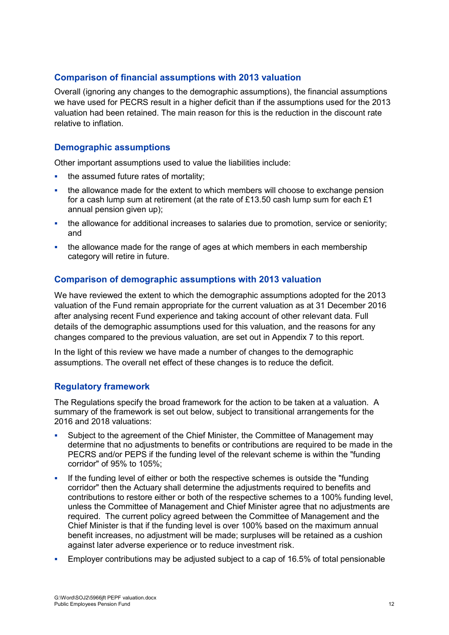#### **Comparison of financial assumptions with 2013 valuation**

Overall (ignoring any changes to the demographic assumptions), the financial assumptions we have used for PECRS result in a higher deficit than if the assumptions used for the 2013 valuation had been retained. The main reason for this is the reduction in the discount rate relative to inflation.

#### **Demographic assumptions**

Other important assumptions used to value the liabilities include:

- the assumed future rates of mortality;
- the allowance made for the extent to which members will choose to exchange pension for a cash lump sum at retirement (at the rate of £13.50 cash lump sum for each £1 annual pension given up);
- the allowance for additional increases to salaries due to promotion, service or seniority; and
- the allowance made for the range of ages at which members in each membership category will retire in future.

#### **Comparison of demographic assumptions with 2013 valuation**

We have reviewed the extent to which the demographic assumptions adopted for the 2013 valuation of the Fund remain appropriate for the current valuation as at 31 December 2016 after analysing recent Fund experience and taking account of other relevant data. Full details of the demographic assumptions used for this valuation, and the reasons for any changes compared to the previous valuation, are set out in Appendix 7 to this report.

In the light of this review we have made a number of changes to the demographic assumptions. The overall net effect of these changes is to reduce the deficit.

#### **Regulatory framework**

The Regulations specify the broad framework for the action to be taken at a valuation. A summary of the framework is set out below, subject to transitional arrangements for the 2016 and 2018 valuations:

- Subject to the agreement of the Chief Minister, the Committee of Management may determine that no adjustments to benefits or contributions are required to be made in the PECRS and/or PEPS if the funding level of the relevant scheme is within the "funding corridor" of 95% to 105%;
- If the funding level of either or both the respective schemes is outside the "funding corridor" then the Actuary shall determine the adjustments required to benefits and contributions to restore either or both of the respective schemes to a 100% funding level, unless the Committee of Management and Chief Minister agree that no adjustments are required. The current policy agreed between the Committee of Management and the Chief Minister is that if the funding level is over 100% based on the maximum annual benefit increases, no adjustment will be made; surpluses will be retained as a cushion against later adverse experience or to reduce investment risk.
- Employer contributions may be adjusted subject to a cap of 16.5% of total pensionable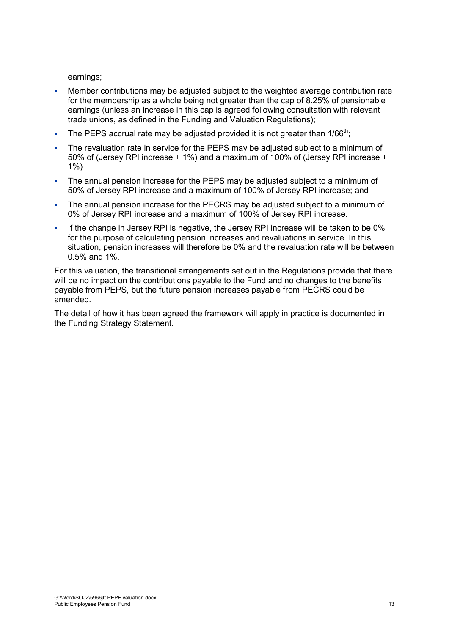earnings;

- Member contributions may be adjusted subject to the weighted average contribution rate for the membership as a whole being not greater than the cap of 8.25% of pensionable earnings (unless an increase in this cap is agreed following consultation with relevant trade unions, as defined in the Funding and Valuation Regulations);
- The PEPS accrual rate may be adjusted provided it is not greater than 1/66<sup>th</sup>;
- The revaluation rate in service for the PEPS may be adjusted subject to a minimum of 50% of (Jersey RPI increase + 1%) and a maximum of 100% of (Jersey RPI increase + 1%)
- The annual pension increase for the PEPS may be adjusted subject to a minimum of 50% of Jersey RPI increase and a maximum of 100% of Jersey RPI increase; and
- The annual pension increase for the PECRS may be adjusted subject to a minimum of 0% of Jersey RPI increase and a maximum of 100% of Jersey RPI increase.
- If the change in Jersey RPI is negative, the Jersey RPI increase will be taken to be 0% for the purpose of calculating pension increases and revaluations in service. In this situation, pension increases will therefore be 0% and the revaluation rate will be between 0.5% and 1%.

For this valuation, the transitional arrangements set out in the Regulations provide that there will be no impact on the contributions payable to the Fund and no changes to the benefits payable from PEPS, but the future pension increases payable from PECRS could be amended.

The detail of how it has been agreed the framework will apply in practice is documented in the Funding Strategy Statement.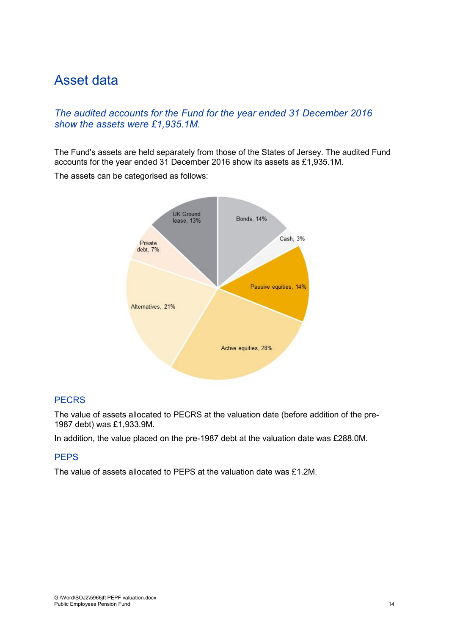### <span id="page-22-0"></span>Asset data

#### *The audited accounts for the Fund for the year ended 31 December 2016 show the assets were £1,935.1M.*

The Fund's assets are held separately from those of the States of Jersey. The audited Fund accounts for the year ended 31 December 2016 show its assets as £1,935.1M.

The assets can be categorised as follows:



#### **PECRS**

The value of assets allocated to PECRS at the valuation date (before addition of the pre-1987 debt) was £1,933.9M.

In addition, the value placed on the pre-1987 debt at the valuation date was £288.0M.

#### **PEPS**

The value of assets allocated to PEPS at the valuation date was £1.2M.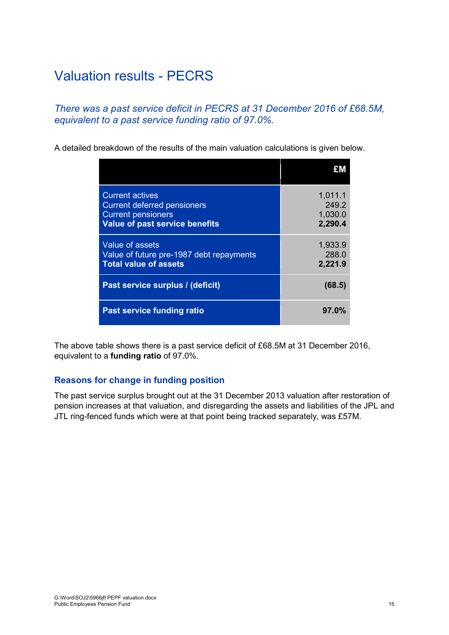### <span id="page-23-0"></span>Valuation results - PECRS

*There was a past service deficit in PECRS at 31 December 2016 of £68.5M, equivalent to a past service funding ratio of 97.0%.*

A detailed breakdown of the results of the main valuation calculations is given below.

| <b>Current actives</b><br><b>Current deferred pensioners</b><br><b>Current pensioners</b><br><b>Value of past service benefits</b> | 1,011.1<br>249.2<br>1,030.0<br>2,290.4 |
|------------------------------------------------------------------------------------------------------------------------------------|----------------------------------------|
| Value of assets<br>Value of future pre-1987 debt repayments<br><b>Total value of assets</b>                                        | 1,933.9<br>288.0<br>2,221.9            |
| Past service surplus / (deficit)                                                                                                   | (68.5)                                 |
| <b>Past service funding ratio</b>                                                                                                  | 97.0%                                  |

The above table shows there is a past service deficit of £68.5M at 31 December 2016, equivalent to a **funding ratio** of 97.0%.

#### **Reasons for change in funding position**

The past service surplus brought out at the 31 December 2013 valuation after restoration of pension increases at that valuation, and disregarding the assets and liabilities of the JPL and JTL ring-fenced funds which were at that point being tracked separately, was £57M.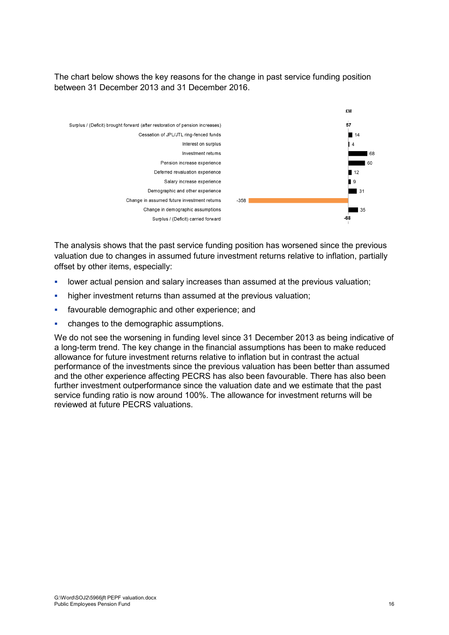The chart below shows the key reasons for the change in past service funding position between 31 December 2013 and 31 December 2016.



The analysis shows that the past service funding position has worsened since the previous valuation due to changes in assumed future investment returns relative to inflation, partially offset by other items, especially:

- lower actual pension and salary increases than assumed at the previous valuation;
- **higher investment returns than assumed at the previous valuation;**
- **favourable demographic and other experience; and**
- changes to the demographic assumptions.

We do not see the worsening in funding level since 31 December 2013 as being indicative of a long-term trend. The key change in the financial assumptions has been to make reduced allowance for future investment returns relative to inflation but in contrast the actual performance of the investments since the previous valuation has been better than assumed and the other experience affecting PECRS has also been favourable. There has also been further investment outperformance since the valuation date and we estimate that the past service funding ratio is now around 100%. The allowance for investment returns will be reviewed at future PECRS valuations.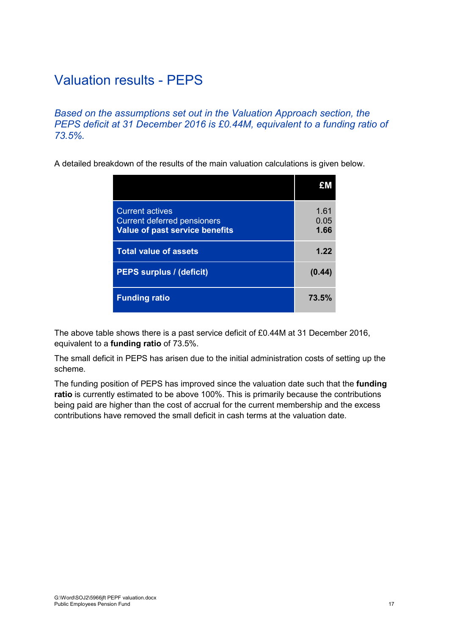### <span id="page-25-0"></span>Valuation results - PEPS

*Based on the assumptions set out in the Valuation Approach section, the PEPS deficit at 31 December 2016 is £0.44M, equivalent to a funding ratio of 73.5%.*

A detailed breakdown of the results of the main valuation calculations is given below.

| <b>Current actives</b><br><b>Current deferred pensioners</b><br><b>Value of past service benefits</b> | 1.61<br>0.05<br>1.66 |
|-------------------------------------------------------------------------------------------------------|----------------------|
| <b>Total value of assets</b>                                                                          | 1.22                 |
| <b>PEPS surplus / (deficit)</b>                                                                       | (0.44)               |
| <b>Funding ratio</b>                                                                                  | 73.5%                |

The above table shows there is a past service deficit of £0.44M at 31 December 2016, equivalent to a **funding ratio** of 73.5%.

The small deficit in PEPS has arisen due to the initial administration costs of setting up the scheme.

The funding position of PEPS has improved since the valuation date such that the **funding ratio** is currently estimated to be above 100%. This is primarily because the contributions being paid are higher than the cost of accrual for the current membership and the excess contributions have removed the small deficit in cash terms at the valuation date.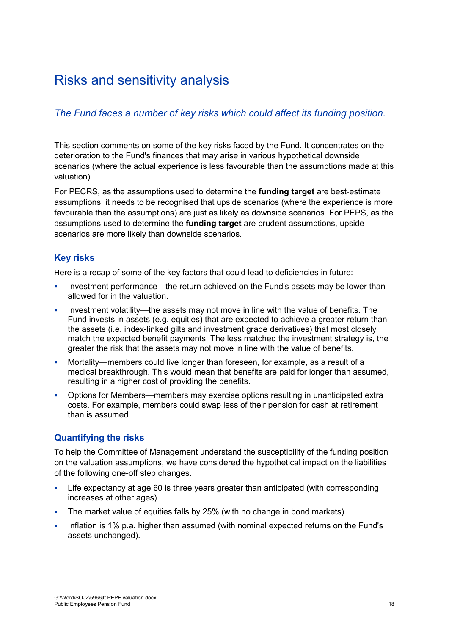### <span id="page-26-0"></span>Risks and sensitivity analysis

#### *The Fund faces a number of key risks which could affect its funding position.*

This section comments on some of the key risks faced by the Fund. It concentrates on the deterioration to the Fund's finances that may arise in various hypothetical downside scenarios (where the actual experience is less favourable than the assumptions made at this valuation).

For PECRS, as the assumptions used to determine the **funding target** are best-estimate assumptions, it needs to be recognised that upside scenarios (where the experience is more favourable than the assumptions) are just as likely as downside scenarios. For PEPS, as the assumptions used to determine the **funding target** are prudent assumptions, upside scenarios are more likely than downside scenarios.

#### **Key risks**

Here is a recap of some of the key factors that could lead to deficiencies in future:

- Investment performance—the return achieved on the Fund's assets may be lower than allowed for in the valuation.
- Investment volatility—the assets may not move in line with the value of benefits. The Fund invests in assets (e.g. equities) that are expected to achieve a greater return than the assets (i.e. index-linked gilts and investment grade derivatives) that most closely match the expected benefit payments. The less matched the investment strategy is, the greater the risk that the assets may not move in line with the value of benefits.
- Mortality—members could live longer than foreseen, for example, as a result of a medical breakthrough. This would mean that benefits are paid for longer than assumed, resulting in a higher cost of providing the benefits.
- Options for Members—members may exercise options resulting in unanticipated extra costs. For example, members could swap less of their pension for cash at retirement than is assumed.

#### **Quantifying the risks**

To help the Committee of Management understand the susceptibility of the funding position on the valuation assumptions, we have considered the hypothetical impact on the liabilities of the following one-off step changes.

- Life expectancy at age 60 is three years greater than anticipated (with corresponding increases at other ages).
- The market value of equities falls by 25% (with no change in bond markets).
- Inflation is 1% p.a. higher than assumed (with nominal expected returns on the Fund's assets unchanged).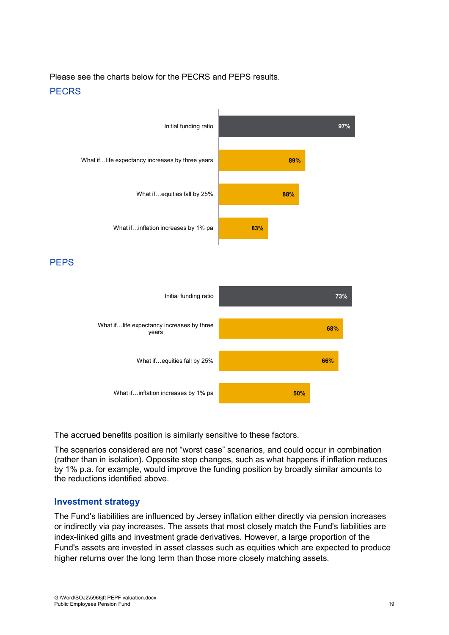Please see the charts below for the PECRS and PEPS results. **PFCRS** 



PEPS



The accrued benefits position is similarly sensitive to these factors.

The scenarios considered are not "worst case" scenarios, and could occur in combination (rather than in isolation). Opposite step changes, such as what happens if inflation reduces by 1% p.a. for example, would improve the funding position by broadly similar amounts to the reductions identified above.

#### **Investment strategy**

The Fund's liabilities are influenced by Jersey inflation either directly via pension increases or indirectly via pay increases. The assets that most closely match the Fund's liabilities are index-linked gilts and investment grade derivatives. However, a large proportion of the Fund's assets are invested in asset classes such as equities which are expected to produce higher returns over the long term than those more closely matching assets.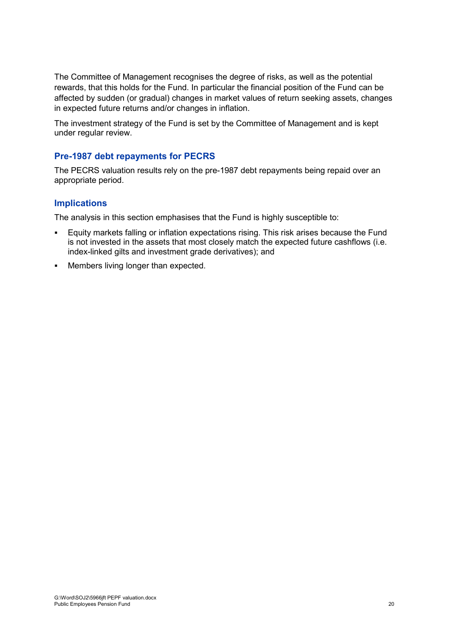The Committee of Management recognises the degree of risks, as well as the potential rewards, that this holds for the Fund. In particular the financial position of the Fund can be affected by sudden (or gradual) changes in market values of return seeking assets, changes in expected future returns and/or changes in inflation.

The investment strategy of the Fund is set by the Committee of Management and is kept under regular review.

#### **Pre-1987 debt repayments for PECRS**

The PECRS valuation results rely on the pre-1987 debt repayments being repaid over an appropriate period.

#### **Implications**

The analysis in this section emphasises that the Fund is highly susceptible to:

- Equity markets falling or inflation expectations rising. This risk arises because the Fund is not invested in the assets that most closely match the expected future cashflows (i.e. index-linked gilts and investment grade derivatives); and
- Members living longer than expected.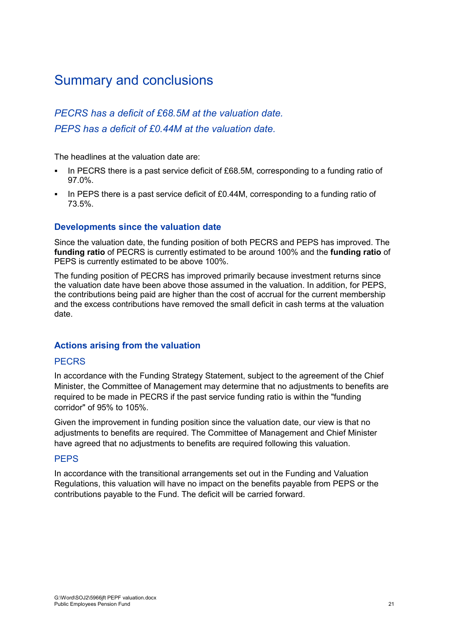### <span id="page-29-0"></span>Summary and conclusions

#### *PECRS has a deficit of £68.5M at the valuation date. PEPS has a deficit of £0.44M at the valuation date.*

The headlines at the valuation date are:

- In PECRS there is a past service deficit of £68.5M, corresponding to a funding ratio of 97.0%.
- In PEPS there is a past service deficit of £0.44M, corresponding to a funding ratio of 73.5%.

#### **Developments since the valuation date**

Since the valuation date, the funding position of both PECRS and PEPS has improved. The **funding ratio** of PECRS is currently estimated to be around 100% and the **funding ratio** of PEPS is currently estimated to be above 100%.

The funding position of PECRS has improved primarily because investment returns since the valuation date have been above those assumed in the valuation. In addition, for PEPS, the contributions being paid are higher than the cost of accrual for the current membership and the excess contributions have removed the small deficit in cash terms at the valuation date.

#### **Actions arising from the valuation**

#### **PECRS**

In accordance with the Funding Strategy Statement, subject to the agreement of the Chief Minister, the Committee of Management may determine that no adjustments to benefits are required to be made in PECRS if the past service funding ratio is within the "funding corridor" of 95% to 105%.

Given the improvement in funding position since the valuation date, our view is that no adjustments to benefits are required. The Committee of Management and Chief Minister have agreed that no adjustments to benefits are required following this valuation.

#### **PFPS**

In accordance with the transitional arrangements set out in the Funding and Valuation Regulations, this valuation will have no impact on the benefits payable from PEPS or the contributions payable to the Fund. The deficit will be carried forward.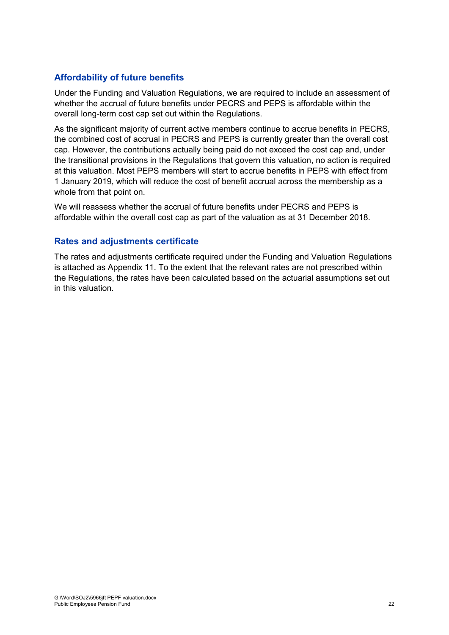#### **Affordability of future benefits**

Under the Funding and Valuation Regulations, we are required to include an assessment of whether the accrual of future benefits under PECRS and PEPS is affordable within the overall long-term cost cap set out within the Regulations.

As the significant majority of current active members continue to accrue benefits in PECRS, the combined cost of accrual in PECRS and PEPS is currently greater than the overall cost cap. However, the contributions actually being paid do not exceed the cost cap and, under the transitional provisions in the Regulations that govern this valuation, no action is required at this valuation. Most PEPS members will start to accrue benefits in PEPS with effect from 1 January 2019, which will reduce the cost of benefit accrual across the membership as a whole from that point on.

We will reassess whether the accrual of future benefits under PECRS and PEPS is affordable within the overall cost cap as part of the valuation as at 31 December 2018.

#### **Rates and adjustments certificate**

The rates and adjustments certificate required under the Funding and Valuation Regulations is attached as Appendix 11. To the extent that the relevant rates are not prescribed within the Regulations, the rates have been calculated based on the actuarial assumptions set out in this valuation.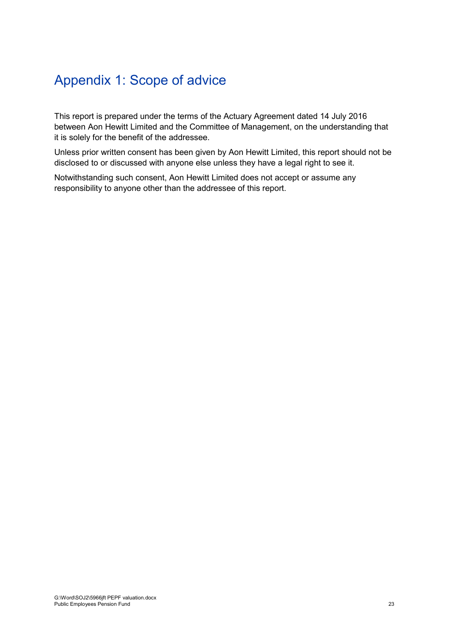### <span id="page-31-0"></span>Appendix 1: Scope of advice

This report is prepared under the terms of the Actuary Agreement dated 14 July 2016 between Aon Hewitt Limited and the Committee of Management, on the understanding that it is solely for the benefit of the addressee.

Unless prior written consent has been given by Aon Hewitt Limited, this report should not be disclosed to or discussed with anyone else unless they have a legal right to see it.

Notwithstanding such consent, Aon Hewitt Limited does not accept or assume any responsibility to anyone other than the addressee of this report.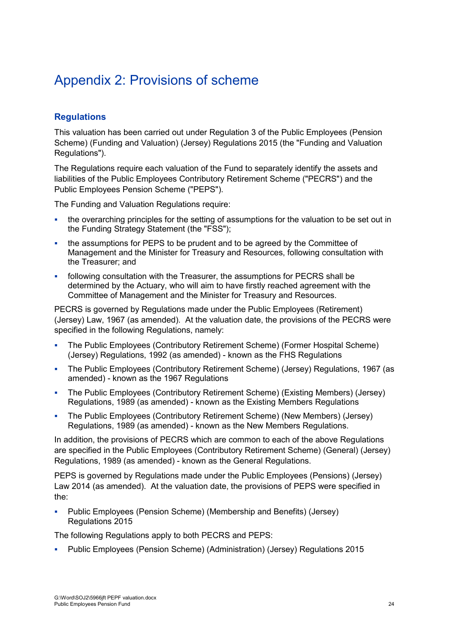### <span id="page-32-0"></span>Appendix 2: Provisions of scheme

#### **Regulations**

This valuation has been carried out under Regulation 3 of the Public Employees (Pension Scheme) (Funding and Valuation) (Jersey) Regulations 2015 (the "Funding and Valuation Regulations").

The Regulations require each valuation of the Fund to separately identify the assets and liabilities of the Public Employees Contributory Retirement Scheme ("PECRS") and the Public Employees Pension Scheme ("PEPS").

The Funding and Valuation Regulations require:

- the overarching principles for the setting of assumptions for the valuation to be set out in the Funding Strategy Statement (the "FSS");
- the assumptions for PEPS to be prudent and to be agreed by the Committee of Management and the Minister for Treasury and Resources, following consultation with the Treasurer; and
- following consultation with the Treasurer, the assumptions for PECRS shall be determined by the Actuary, who will aim to have firstly reached agreement with the Committee of Management and the Minister for Treasury and Resources.

PECRS is governed by Regulations made under the Public Employees (Retirement) (Jersey) Law, 1967 (as amended). At the valuation date, the provisions of the PECRS were specified in the following Regulations, namely:

- The Public Employees (Contributory Retirement Scheme) (Former Hospital Scheme) (Jersey) Regulations, 1992 (as amended) - known as the FHS Regulations
- The Public Employees (Contributory Retirement Scheme) (Jersey) Regulations, 1967 (as amended) - known as the 1967 Regulations
- The Public Employees (Contributory Retirement Scheme) (Existing Members) (Jersey) Regulations, 1989 (as amended) - known as the Existing Members Regulations
- The Public Employees (Contributory Retirement Scheme) (New Members) (Jersey) Regulations, 1989 (as amended) - known as the New Members Regulations.

In addition, the provisions of PECRS which are common to each of the above Regulations are specified in the Public Employees (Contributory Retirement Scheme) (General) (Jersey) Regulations, 1989 (as amended) - known as the General Regulations.

PEPS is governed by Regulations made under the Public Employees (Pensions) (Jersey) Law 2014 (as amended). At the valuation date, the provisions of PEPS were specified in the:

 Public Employees (Pension Scheme) (Membership and Benefits) (Jersey) Regulations 2015

The following Regulations apply to both PECRS and PEPS:

Public Employees (Pension Scheme) (Administration) (Jersey) Regulations 2015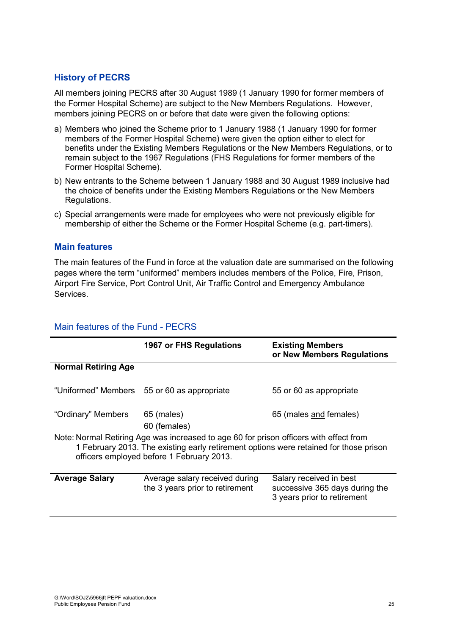#### **History of PECRS**

All members joining PECRS after 30 August 1989 (1 January 1990 for former members of the Former Hospital Scheme) are subject to the New Members Regulations. However, members joining PECRS on or before that date were given the following options:

- a) Members who joined the Scheme prior to 1 January 1988 (1 January 1990 for former members of the Former Hospital Scheme) were given the option either to elect for benefits under the Existing Members Regulations or the New Members Regulations, or to remain subject to the 1967 Regulations (FHS Regulations for former members of the Former Hospital Scheme).
- b) New entrants to the Scheme between 1 January 1988 and 30 August 1989 inclusive had the choice of benefits under the Existing Members Regulations or the New Members Regulations.
- c) Special arrangements were made for employees who were not previously eligible for membership of either the Scheme or the Former Hospital Scheme (e.g. part-timers).

#### **Main features**

The main features of the Fund in force at the valuation date are summarised on the following pages where the term "uniformed" members includes members of the Police, Fire, Prison, Airport Fire Service, Port Control Unit, Air Traffic Control and Emergency Ambulance Services.

|                                                                                                                                                                                                                              | 1967 or FHS Regulations                                           | <b>Existing Members</b><br>or New Members Regulations                                    |  |
|------------------------------------------------------------------------------------------------------------------------------------------------------------------------------------------------------------------------------|-------------------------------------------------------------------|------------------------------------------------------------------------------------------|--|
| <b>Normal Retiring Age</b>                                                                                                                                                                                                   |                                                                   |                                                                                          |  |
|                                                                                                                                                                                                                              | "Uniformed" Members 55 or 60 as appropriate                       | 55 or 60 as appropriate                                                                  |  |
| "Ordinary" Members                                                                                                                                                                                                           | 65 (males)<br>60 (females)                                        | 65 (males and females)                                                                   |  |
| Note: Normal Retiring Age was increased to age 60 for prison officers with effect from<br>1 February 2013. The existing early retirement options were retained for those prison<br>officers employed before 1 February 2013. |                                                                   |                                                                                          |  |
| <b>Average Salary</b>                                                                                                                                                                                                        | Average salary received during<br>the 3 years prior to retirement | Salary received in best<br>successive 365 days during the<br>3 years prior to retirement |  |

#### Main features of the Fund - PECRS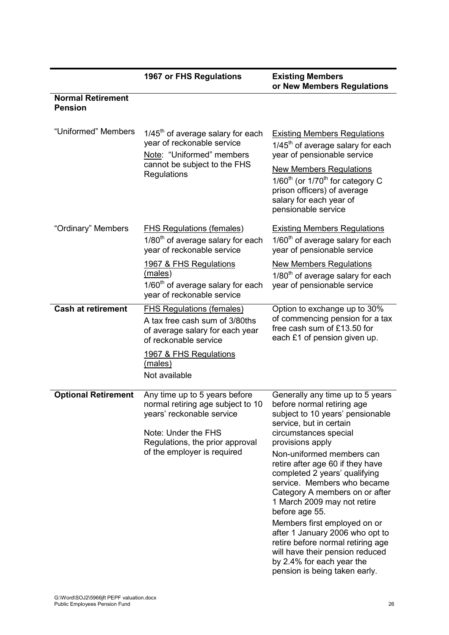**1967 or FHS Regulations Existing Members or New Members Regulations Normal Retirement Pension** "Uniformed" Members  $1/45<sup>th</sup>$  of average salary for each year of reckonable service Note: "Uniformed" members cannot be subject to the FHS **Requlations** Existing Members Regulations  $1/45<sup>th</sup>$  of average salary for each year of pensionable service New Members Regulations  $1/60^{th}$  (or  $1/70^{th}$  for category C prison officers) of average salary for each year of pensionable service "Ordinary" Members FHS Regulations (females)  $1/80<sup>th</sup>$  of average salary for each year of reckonable service 1967 & FHS Regulations (males) 1/60<sup>th</sup> of average salary for each year of reckonable service Existing Members Regulations  $1/60<sup>th</sup>$  of average salary for each year of pensionable service New Members Regulations  $1/80<sup>th</sup>$  of average salary for each year of pensionable service **Cash at retirement** FHS Regulations (females) A tax free cash sum of 3/80ths of average salary for each year of reckonable service 1967 & FHS Regulations (males) Not available Option to exchange up to 30% of commencing pension for a tax free cash sum of £13.50 for each £1 of pension given up. **Optional Retirement** Any time up to 5 years before normal retiring age subject to 10 years' reckonable service Note: Under the FHS Regulations, the prior approval of the employer is required Generally any time up to 5 years before normal retiring age subject to 10 years' pensionable service, but in certain circumstances special provisions apply Non-uniformed members can retire after age 60 if they have completed 2 years' qualifying service. Members who became Category A members on or after 1 March 2009 may not retire before age 55. Members first employed on or after 1 January 2006 who opt to retire before normal retiring age will have their pension reduced by 2.4% for each year the

pension is being taken early.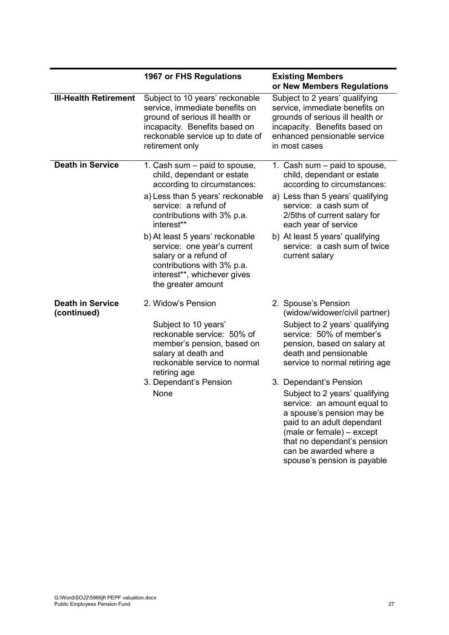|                                        | 1967 or FHS Regulations                                                                                                                                                                                                                                                                                                                                                          | <b>Existing Members</b><br>or New Members Regulations                                                                                                                                                                                                                                                                                                                                                                                                                                   |
|----------------------------------------|----------------------------------------------------------------------------------------------------------------------------------------------------------------------------------------------------------------------------------------------------------------------------------------------------------------------------------------------------------------------------------|-----------------------------------------------------------------------------------------------------------------------------------------------------------------------------------------------------------------------------------------------------------------------------------------------------------------------------------------------------------------------------------------------------------------------------------------------------------------------------------------|
| <b>III-Health Retirement</b>           | Subject to 10 years' reckonable<br>service, immediate benefits on<br>ground of serious ill health or<br>incapacity. Benefits based on<br>reckonable service up to date of<br>retirement only                                                                                                                                                                                     | Subject to 2 years' qualifying<br>service, immediate benefits on<br>grounds of serious ill health or<br>incapacity. Benefits based on<br>enhanced pensionable service<br>in most cases                                                                                                                                                                                                                                                                                                  |
| <b>Death in Service</b>                | 1. Cash sum - paid to spouse,<br>child, dependant or estate<br>according to circumstances:<br>a) Less than 5 years' reckonable<br>service: a refund of<br>contributions with 3% p.a.<br>interest**<br>b) At least 5 years' reckonable<br>service: one year's current<br>salary or a refund of<br>contributions with 3% p.a.<br>interest**, whichever gives<br>the greater amount | 1. Cash sum – paid to spouse,<br>child, dependant or estate<br>according to circumstances:<br>a) Less than 5 years' qualifying<br>service: a cash sum of<br>2/5ths of current salary for<br>each year of service<br>b) At least 5 years' qualifying<br>service: a cash sum of twice<br>current salary                                                                                                                                                                                   |
| <b>Death in Service</b><br>(continued) | 2. Widow's Pension<br>Subject to 10 years'<br>reckonable service: 50% of<br>member's pension, based on<br>salary at death and<br>reckonable service to normal<br>retiring age<br>3. Dependant's Pension<br>None                                                                                                                                                                  | 2. Spouse's Pension<br>(widow/widower/civil partner)<br>Subject to 2 years' qualifying<br>service: 50% of member's<br>pension, based on salary at<br>death and pensionable<br>service to normal retiring age<br>3. Dependant's Pension<br>Subject to 2 years' qualifying<br>service: an amount equal to<br>a spouse's pension may be<br>paid to an adult dependant<br>(male or female) - except<br>that no dependant's pension<br>can be awarded where a<br>spouse's pension is payable |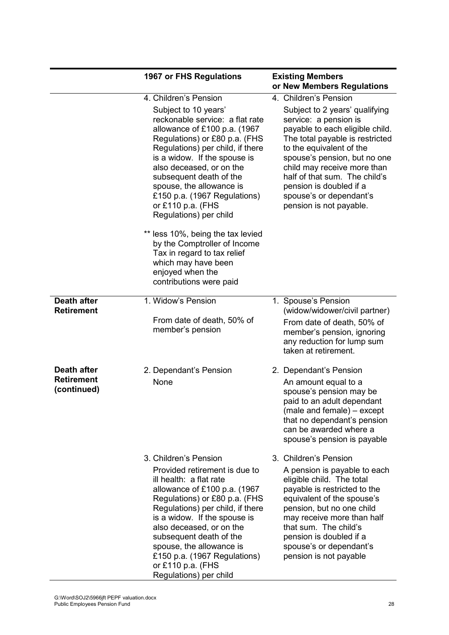|                                                 | 1967 or FHS Regulations                                                                                                                                                                                                                                                                                                                                                                             | <b>Existing Members</b><br>or New Members Regulations                                                                                                                                                                                                                                                                                      |
|-------------------------------------------------|-----------------------------------------------------------------------------------------------------------------------------------------------------------------------------------------------------------------------------------------------------------------------------------------------------------------------------------------------------------------------------------------------------|--------------------------------------------------------------------------------------------------------------------------------------------------------------------------------------------------------------------------------------------------------------------------------------------------------------------------------------------|
|                                                 | 4. Children's Pension                                                                                                                                                                                                                                                                                                                                                                               | 4. Children's Pension                                                                                                                                                                                                                                                                                                                      |
|                                                 | Subject to 10 years'<br>reckonable service: a flat rate<br>allowance of £100 p.a. (1967<br>Regulations) or £80 p.a. (FHS<br>Regulations) per child, if there<br>is a widow. If the spouse is<br>also deceased, or on the<br>subsequent death of the<br>spouse, the allowance is<br>£150 p.a. (1967 Regulations)<br>or £110 p.a. (FHS<br>Regulations) per child<br>** less 10%, being the tax levied | Subject to 2 years' qualifying<br>service: a pension is<br>payable to each eligible child.<br>The total payable is restricted<br>to the equivalent of the<br>spouse's pension, but no one<br>child may receive more than<br>half of that sum. The child's<br>pension is doubled if a<br>spouse's or dependant's<br>pension is not payable. |
|                                                 | by the Comptroller of Income<br>Tax in regard to tax relief<br>which may have been<br>enjoyed when the<br>contributions were paid                                                                                                                                                                                                                                                                   |                                                                                                                                                                                                                                                                                                                                            |
| <b>Death after</b><br><b>Retirement</b>         | 1. Widow's Pension<br>From date of death, 50% of<br>member's pension                                                                                                                                                                                                                                                                                                                                | 1. Spouse's Pension<br>(widow/widower/civil partner)<br>From date of death, 50% of<br>member's pension, ignoring<br>any reduction for lump sum<br>taken at retirement.                                                                                                                                                                     |
| Death after<br><b>Retirement</b><br>(continued) | 2. Dependant's Pension<br>None                                                                                                                                                                                                                                                                                                                                                                      | 2. Dependant's Pension<br>An amount equal to a<br>spouse's pension may be<br>paid to an adult dependant<br>(male and female) – except<br>that no dependant's pension<br>can be awarded where a<br>spouse's pension is payable                                                                                                              |
|                                                 | 3. Children's Pension<br>Provided retirement is due to<br>ill health: a flat rate<br>allowance of £100 p.a. (1967<br>Regulations) or £80 p.a. (FHS<br>Regulations) per child, if there<br>is a widow. If the spouse is<br>also deceased, or on the<br>subsequent death of the<br>spouse, the allowance is<br>£150 p.a. (1967 Regulations)<br>or £110 p.a. (FHS<br>Regulations) per child            | 3. Children's Pension<br>A pension is payable to each<br>eligible child. The total<br>payable is restricted to the<br>equivalent of the spouse's<br>pension, but no one child<br>may receive more than half<br>that sum. The child's<br>pension is doubled if a<br>spouse's or dependant's<br>pension is not payable                       |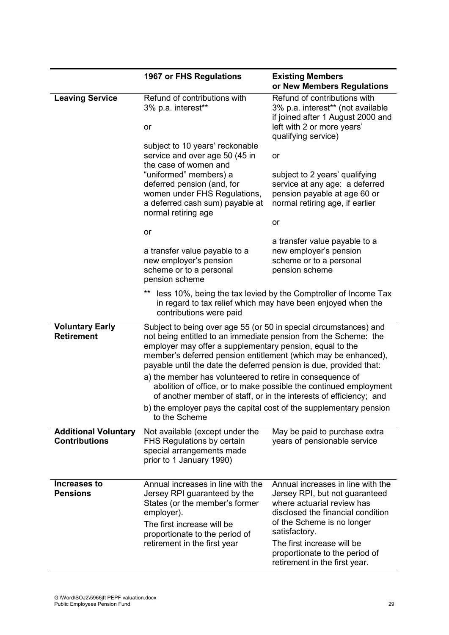|                                                     | 1967 or FHS Regulations                                                                                                                                                                                                                                                                                                                  | <b>Existing Members</b><br>or New Members Regulations                                                                                                                                                                                                                                  |
|-----------------------------------------------------|------------------------------------------------------------------------------------------------------------------------------------------------------------------------------------------------------------------------------------------------------------------------------------------------------------------------------------------|----------------------------------------------------------------------------------------------------------------------------------------------------------------------------------------------------------------------------------------------------------------------------------------|
| <b>Leaving Service</b>                              | Refund of contributions with<br>3% p.a. interest**<br><b>or</b>                                                                                                                                                                                                                                                                          | Refund of contributions with<br>3% p.a. interest** (not available<br>if joined after 1 August 2000 and<br>left with 2 or more years'<br>qualifying service)                                                                                                                            |
|                                                     | subject to 10 years' reckonable<br>service and over age 50 (45 in<br>the case of women and<br>"uniformed" members) a<br>deferred pension (and, for<br>women under FHS Regulations,<br>a deferred cash sum) payable at<br>normal retiring age                                                                                             | or<br>subject to 2 years' qualifying<br>service at any age: a deferred<br>pension payable at age 60 or<br>normal retiring age, if earlier                                                                                                                                              |
|                                                     | or                                                                                                                                                                                                                                                                                                                                       | or                                                                                                                                                                                                                                                                                     |
|                                                     | a transfer value payable to a<br>new employer's pension<br>scheme or to a personal<br>pension scheme                                                                                                                                                                                                                                     | a transfer value payable to a<br>new employer's pension<br>scheme or to a personal<br>pension scheme                                                                                                                                                                                   |
|                                                     | **<br>contributions were paid                                                                                                                                                                                                                                                                                                            | less 10%, being the tax levied by the Comptroller of Income Tax<br>in regard to tax relief which may have been enjoyed when the                                                                                                                                                        |
| <b>Voluntary Early</b><br><b>Retirement</b>         | Subject to being over age 55 (or 50 in special circumstances) and<br>not being entitled to an immediate pension from the Scheme: the<br>employer may offer a supplementary pension, equal to the<br>member's deferred pension entitlement (which may be enhanced),<br>payable until the date the deferred pension is due, provided that: |                                                                                                                                                                                                                                                                                        |
|                                                     | a) the member has volunteered to retire in consequence of                                                                                                                                                                                                                                                                                | abolition of office, or to make possible the continued employment<br>of another member of staff, or in the interests of efficiency; and                                                                                                                                                |
|                                                     | b) the employer pays the capital cost of the supplementary pension<br>to the Scheme                                                                                                                                                                                                                                                      |                                                                                                                                                                                                                                                                                        |
| <b>Additional Voluntary</b><br><b>Contributions</b> | Not available (except under the<br>FHS Regulations by certain<br>special arrangements made<br>prior to 1 January 1990)                                                                                                                                                                                                                   | May be paid to purchase extra<br>years of pensionable service                                                                                                                                                                                                                          |
| <b>Increases to</b><br><b>Pensions</b>              | Annual increases in line with the<br>Jersey RPI guaranteed by the<br>States (or the member's former<br>employer).<br>The first increase will be<br>proportionate to the period of<br>retirement in the first year                                                                                                                        | Annual increases in line with the<br>Jersey RPI, but not guaranteed<br>where actuarial review has<br>disclosed the financial condition<br>of the Scheme is no longer<br>satisfactory.<br>The first increase will be<br>proportionate to the period of<br>retirement in the first year. |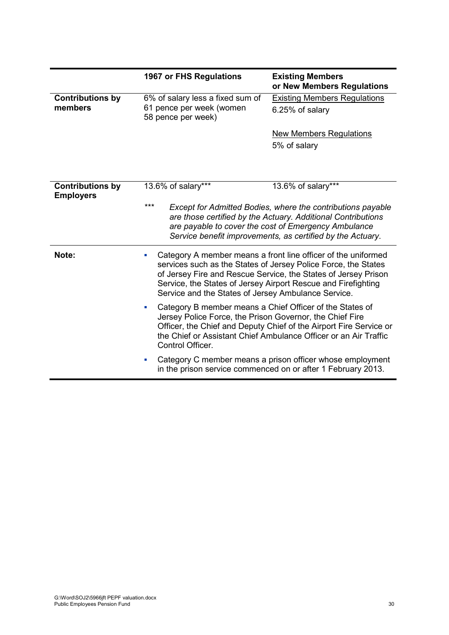|                                             | 1967 or FHS Regulations                                                            | <b>Existing Members</b><br>or New Members Regulations                                                                                                                                                                                                                                                                     |  |  |  |  |
|---------------------------------------------|------------------------------------------------------------------------------------|---------------------------------------------------------------------------------------------------------------------------------------------------------------------------------------------------------------------------------------------------------------------------------------------------------------------------|--|--|--|--|
| <b>Contributions by</b><br>members          | 6% of salary less a fixed sum of<br>61 pence per week (women<br>58 pence per week) | <b>Existing Members Regulations</b><br>6.25% of salary                                                                                                                                                                                                                                                                    |  |  |  |  |
|                                             |                                                                                    | <b>New Members Regulations</b><br>5% of salary                                                                                                                                                                                                                                                                            |  |  |  |  |
| <b>Contributions by</b><br><b>Employers</b> | 13.6% of salary***<br>***                                                          | 13.6% of salary***<br>Except for Admitted Bodies, where the contributions payable<br>are those certified by the Actuary. Additional Contributions<br>are payable to cover the cost of Emergency Ambulance<br>Service benefit improvements, as certified by the Actuary.                                                   |  |  |  |  |
| Note:                                       | ×                                                                                  | Category A member means a front line officer of the uniformed<br>services such as the States of Jersey Police Force, the States<br>of Jersey Fire and Rescue Service, the States of Jersey Prison<br>Service, the States of Jersey Airport Rescue and Firefighting<br>Service and the States of Jersey Ambulance Service. |  |  |  |  |
|                                             | $\blacksquare$<br>Control Officer.                                                 | Category B member means a Chief Officer of the States of<br>Jersey Police Force, the Prison Governor, the Chief Fire<br>Officer, the Chief and Deputy Chief of the Airport Fire Service or<br>the Chief or Assistant Chief Ambulance Officer or an Air Traffic                                                            |  |  |  |  |
|                                             | $\blacksquare$                                                                     | Category C member means a prison officer whose employment<br>in the prison service commenced on or after 1 February 2013.                                                                                                                                                                                                 |  |  |  |  |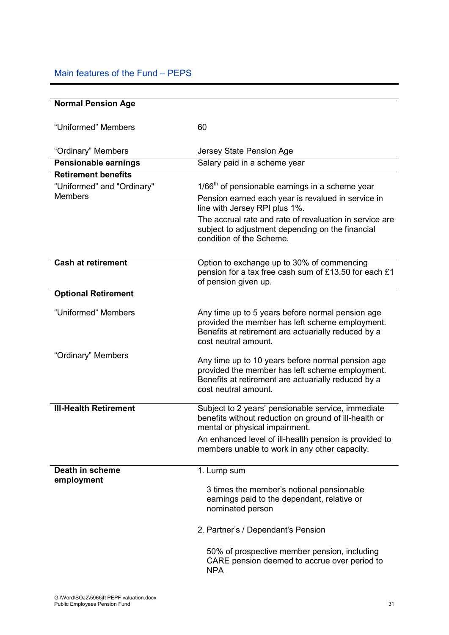## Main features of the Fund – PEPS

| <b>Normal Pension Age</b>                    |                                                                                                                                                                                     |
|----------------------------------------------|-------------------------------------------------------------------------------------------------------------------------------------------------------------------------------------|
|                                              |                                                                                                                                                                                     |
| "Uniformed" Members                          | 60                                                                                                                                                                                  |
|                                              |                                                                                                                                                                                     |
| "Ordinary" Members                           | Jersey State Pension Age                                                                                                                                                            |
| Pensionable earnings                         | Salary paid in a scheme year                                                                                                                                                        |
| <b>Retirement benefits</b>                   |                                                                                                                                                                                     |
| "Uniformed" and "Ordinary"<br><b>Members</b> | $1/66th$ of pensionable earnings in a scheme year<br>Pension earned each year is revalued in service in<br>line with Jersey RPI plus 1%.                                            |
|                                              | The accrual rate and rate of revaluation in service are<br>subject to adjustment depending on the financial<br>condition of the Scheme.                                             |
| <b>Cash at retirement</b>                    | Option to exchange up to 30% of commencing<br>pension for a tax free cash sum of £13.50 for each £1<br>of pension given up.                                                         |
| <b>Optional Retirement</b>                   |                                                                                                                                                                                     |
| "Uniformed" Members                          | Any time up to 5 years before normal pension age<br>provided the member has left scheme employment.<br>Benefits at retirement are actuarially reduced by a<br>cost neutral amount.  |
| "Ordinary" Members                           | Any time up to 10 years before normal pension age<br>provided the member has left scheme employment.<br>Benefits at retirement are actuarially reduced by a<br>cost neutral amount. |
| <b>III-Health Retirement</b>                 | Subject to 2 years' pensionable service, immediate<br>benefits without reduction on ground of ill-health or<br>mental or physical impairment.                                       |
|                                              | An enhanced level of ill-health pension is provided to<br>members unable to work in any other capacity.                                                                             |
| Death in scheme                              | 1. Lump sum                                                                                                                                                                         |
| employment                                   | 3 times the member's notional pensionable<br>earnings paid to the dependant, relative or<br>nominated person                                                                        |
|                                              | 2. Partner's / Dependant's Pension                                                                                                                                                  |
|                                              | 50% of prospective member pension, including<br>CARE pension deemed to accrue over period to<br><b>NPA</b>                                                                          |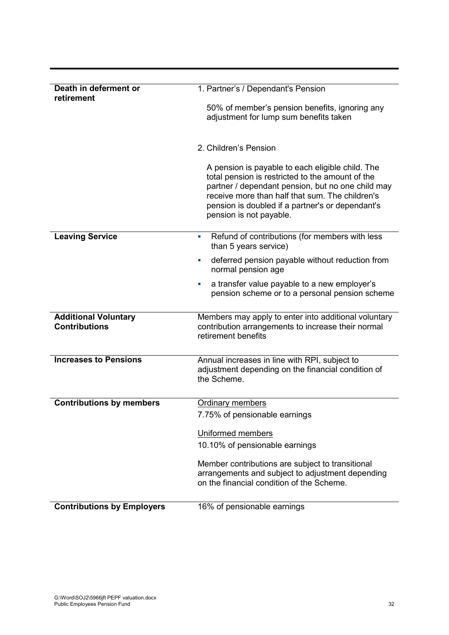| Death in deferment or<br>retirement                 | 1. Partner's / Dependant's Pension                                                                                                                                                                                                                                                          |
|-----------------------------------------------------|---------------------------------------------------------------------------------------------------------------------------------------------------------------------------------------------------------------------------------------------------------------------------------------------|
|                                                     | 50% of member's pension benefits, ignoring any<br>adjustment for lump sum benefits taken                                                                                                                                                                                                    |
|                                                     |                                                                                                                                                                                                                                                                                             |
|                                                     | 2. Children's Pension                                                                                                                                                                                                                                                                       |
|                                                     | A pension is payable to each eligible child. The<br>total pension is restricted to the amount of the<br>partner / dependant pension, but no one child may<br>receive more than half that sum. The children's<br>pension is doubled if a partner's or dependant's<br>pension is not payable. |
| <b>Leaving Service</b>                              | Refund of contributions (for members with less<br>ш<br>than 5 years service)                                                                                                                                                                                                                |
|                                                     | deferred pension payable without reduction from<br>$\blacksquare$<br>normal pension age                                                                                                                                                                                                     |
|                                                     | a transfer value payable to a new employer's<br>٠<br>pension scheme or to a personal pension scheme                                                                                                                                                                                         |
| <b>Additional Voluntary</b><br><b>Contributions</b> | Members may apply to enter into additional voluntary<br>contribution arrangements to increase their normal<br>retirement benefits                                                                                                                                                           |
| <b>Increases to Pensions</b>                        | Annual increases in line with RPI, subject to<br>adjustment depending on the financial condition of<br>the Scheme.                                                                                                                                                                          |
| <b>Contributions by members</b>                     | <b>Ordinary members</b>                                                                                                                                                                                                                                                                     |
|                                                     | 7.75% of pensionable earnings                                                                                                                                                                                                                                                               |
|                                                     | Uniformed members                                                                                                                                                                                                                                                                           |
|                                                     | 10.10% of pensionable earnings                                                                                                                                                                                                                                                              |
|                                                     | Member contributions are subject to transitional                                                                                                                                                                                                                                            |
|                                                     | arrangements and subject to adjustment depending<br>on the financial condition of the Scheme.                                                                                                                                                                                               |
| <b>Contributions by Employers</b>                   | 16% of pensionable earnings                                                                                                                                                                                                                                                                 |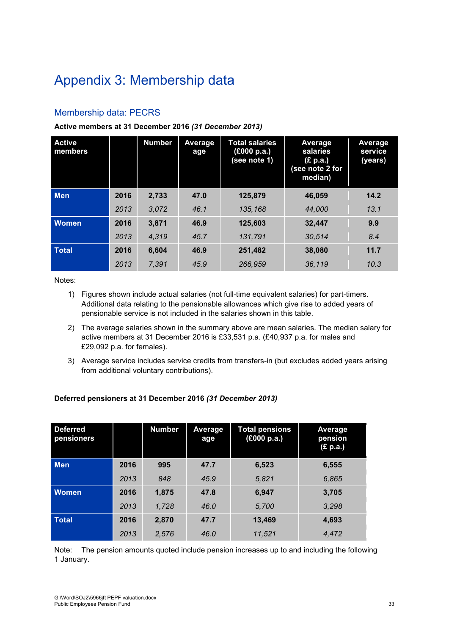# Appendix 3: Membership data

## Membership data: PECRS

#### **Active members at 31 December 2016** *(31 December 2013)*

| <b>Active</b><br>members |      | <b>Number</b> | <b>Average</b><br>age | <b>Total salaries</b><br>(£000 p.a.)<br>(see note 1) | Average<br>salaries<br>(£ p.a.)<br>(see note 2 for<br>median) | Average<br>service<br>(years) |
|--------------------------|------|---------------|-----------------------|------------------------------------------------------|---------------------------------------------------------------|-------------------------------|
| <b>Men</b>               | 2016 | 2,733         | 47.0                  | 125,879                                              | 46,059                                                        | 14.2                          |
|                          | 2013 | 3,072         | 46.1                  | 135,168                                              | 44.000                                                        | 13.1                          |
| <b>Women</b>             | 2016 | 3,871         | 46.9                  | 125.603                                              | 32.447                                                        | 9.9                           |
|                          | 2013 | 4,319         | 45.7                  | 131,791                                              | 30.514                                                        | 8.4                           |
| <b>Total</b>             | 2016 | 6,604         | 46.9                  | 251,482                                              | 38,080                                                        | 11.7                          |
|                          | 2013 | 7,391         | 45.9                  | 266,959                                              | 36.119                                                        | 10.3                          |

Notes:

- 1) Figures shown include actual salaries (not full-time equivalent salaries) for part-timers. Additional data relating to the pensionable allowances which give rise to added years of pensionable service is not included in the salaries shown in this table.
- 2) The average salaries shown in the summary above are mean salaries. The median salary for active members at 31 December 2016 is £33,531 p.a. (£40,937 p.a. for males and £29,092 p.a. for females).
- 3) Average service includes service credits from transfers-in (but excludes added years arising from additional voluntary contributions).

#### **Deferred pensioners at 31 December 2016** *(31 December 2013)*

| <b>Deferred</b><br>pensioners |      | <b>Number</b> | Average<br>age | <b>Total pensions</b><br>f(000 p.a.) | Average<br>pension<br>(£ p.a.) |
|-------------------------------|------|---------------|----------------|--------------------------------------|--------------------------------|
| <b>Men</b>                    | 2016 | 995           | 47.7           | 6,523                                | 6,555                          |
|                               | 2013 | 848           | 45.9           | 5,821                                | 6,865                          |
| <b>Women</b>                  | 2016 | 1,875         | 47.8           | 6,947                                | 3,705                          |
|                               | 2013 | 1,728         | 46.0           | 5,700                                | 3,298                          |
| <b>Total</b>                  | 2016 | 2,870         | 47.7           | 13,469                               | 4,693                          |
|                               | 2013 | 2,576         | 46.0           | 11,521                               | 4.472                          |

Note: The pension amounts quoted include pension increases up to and including the following 1 January.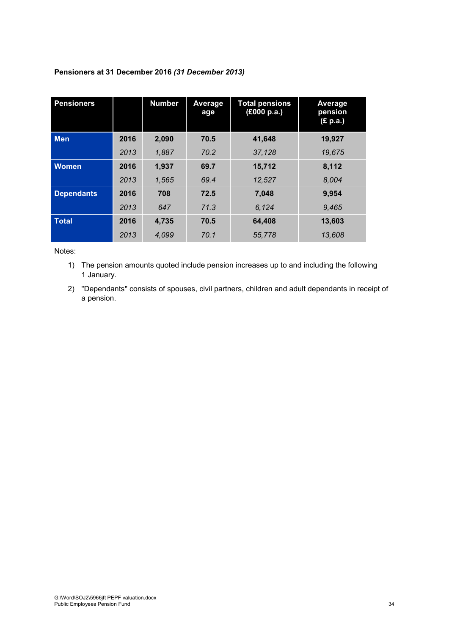| <b>Pensioners</b> |      | <b>Number</b> | Average<br>age | <b>Total pensions</b><br>(£000 p.a.) | Average<br>pension<br>(£ p.a.) |
|-------------------|------|---------------|----------------|--------------------------------------|--------------------------------|
| <b>Men</b>        | 2016 | 2,090         | 70.5           | 41,648                               | 19,927                         |
|                   | 2013 | 1.887         | 70.2           | 37.128                               | 19.675                         |
| <b>Women</b>      | 2016 | 1,937         | 69.7           | 15,712                               | 8,112                          |
|                   | 2013 | 1,565         | 69.4           | 12,527                               | 8.004                          |
| <b>Dependants</b> | 2016 | 708           | 72.5           | 7,048                                | 9,954                          |
|                   | 2013 | 647           | 71.3           | 6,124                                | 9,465                          |
| <b>Total</b>      | 2016 | 4,735         | 70.5           | 64,408                               | 13,603                         |
|                   | 2013 | 4.099         | 70.1           | 55,778                               | 13,608                         |

## **Pensioners at 31 December 2016** *(31 December 2013)*

Notes:

1) The pension amounts quoted include pension increases up to and including the following 1 January.

2) "Dependants" consists of spouses, civil partners, children and adult dependants in receipt of a pension.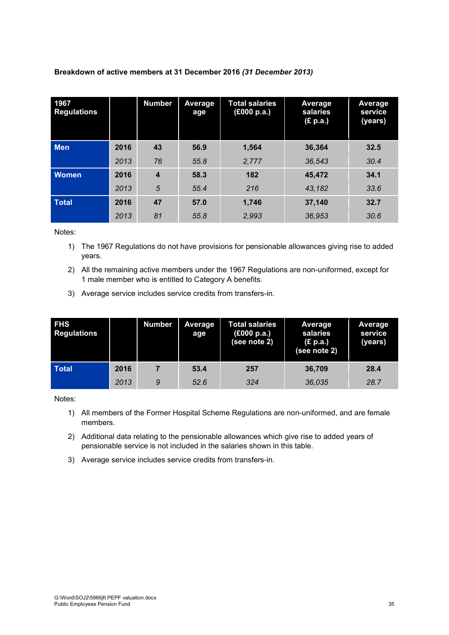| 1967<br><b>Regulations</b> |      | <b>Number</b>    | <b>Average</b><br>age | <b>Total salaries</b><br>(£000 p.a.) | <b>Average</b><br>salaries<br>(E p.a.) | Average<br>service<br>(years) |
|----------------------------|------|------------------|-----------------------|--------------------------------------|----------------------------------------|-------------------------------|
| Men                        | 2016 | 43               | 56.9                  | 1,564                                | 36,364                                 | 32.5                          |
|                            | 2013 | 76               | 55.8                  | 2,777                                | 36,543                                 | 30.4                          |
| <b>Women</b>               | 2016 | $\boldsymbol{4}$ | 58.3                  | 182                                  | 45.472                                 | 34.1                          |
|                            | 2013 | 5                | 55.4                  | 216                                  | 43,182                                 | 33.6                          |
| <b>Total</b>               | 2016 | 47               | 57.0                  | 1.746                                | 37,140                                 | 32.7                          |
|                            | 2013 | 81               | 55.8                  | 2,993                                | 36.953                                 | 30.6                          |

**Breakdown of active members at 31 December 2016** *(31 December 2013)*

Notes:

- 1) The 1967 Regulations do not have provisions for pensionable allowances giving rise to added years.
- 2) All the remaining active members under the 1967 Regulations are non-uniformed, except for 1 male member who is entitled to Category A benefits.
- 3) Average service includes service credits from transfers-in.

| <b>FHS</b><br><b>Regulations</b> |      | <b>Number</b> | Average<br>age | <b>Total salaries</b><br>(£000 p.a.)<br>(see note 2) | <b>Average</b><br>salaries<br>(£ p.a.)<br>(see note 2) | Average<br>service<br>(years) |
|----------------------------------|------|---------------|----------------|------------------------------------------------------|--------------------------------------------------------|-------------------------------|
| <b>Total</b>                     | 2016 |               | 53.4           | 257                                                  | 36.709                                                 | 28.4                          |
|                                  | 2013 | 9             | 52.6           | 324                                                  | 36.035                                                 | 28.7                          |

Notes:

- 1) All members of the Former Hospital Scheme Regulations are non-uniformed, and are female members.
- 2) Additional data relating to the pensionable allowances which give rise to added years of pensionable service is not included in the salaries shown in this table.
- 3) Average service includes service credits from transfers-in.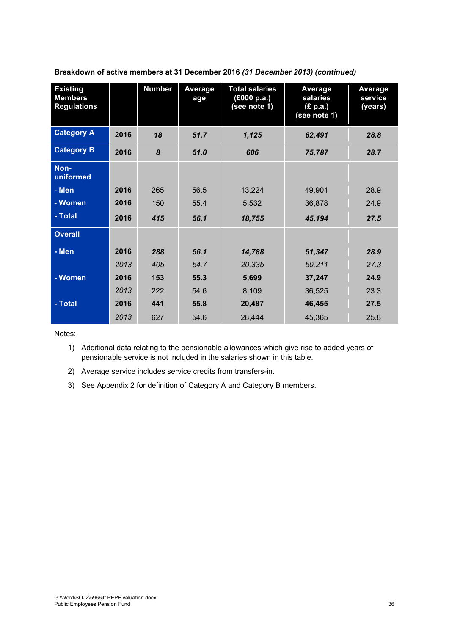| <b>Existing</b><br><b>Members</b><br><b>Regulations</b> |      | <b>Number</b> | Average<br>age | <b>Total salaries</b><br>(£000 p.a.)<br>(see note 1) | Average<br>salaries<br>(£ p.a.)<br>$(see$ note 1) | <b>Average</b><br>service<br>(years) |
|---------------------------------------------------------|------|---------------|----------------|------------------------------------------------------|---------------------------------------------------|--------------------------------------|
| <b>Category A</b>                                       | 2016 | 18            | 51.7           | 1,125                                                | 62,491                                            | 28.8                                 |
| <b>Category B</b>                                       | 2016 | 8             | 51.0           | 606                                                  | 75,787                                            | 28.7                                 |
| Non-<br>uniformed                                       |      |               |                |                                                      |                                                   |                                      |
| - Men                                                   | 2016 | 265           | 56.5           | 13,224                                               | 49,901                                            | 28.9                                 |
| - Women                                                 | 2016 | 150           | 55.4           | 5,532                                                | 36,878                                            | 24.9                                 |
| - Total                                                 | 2016 | 415           | 56.1           | 18,755                                               | 45,194                                            | 27.5                                 |
| <b>Overall</b>                                          |      |               |                |                                                      |                                                   |                                      |
| - Men                                                   | 2016 | 288           | 56.1           | 14,788                                               | 51,347                                            | 28.9                                 |
|                                                         | 2013 | 405           | 54.7           | 20,335                                               | 50,211                                            | 27.3                                 |
| - Women                                                 | 2016 | 153           | 55.3           | 5,699                                                | 37,247                                            | 24.9                                 |
|                                                         | 2013 | 222           | 54.6           | 8,109                                                | 36,525                                            | 23.3                                 |
| - Total                                                 | 2016 | 441           | 55.8           | 20,487                                               | 46,455                                            | 27.5                                 |
|                                                         | 2013 | 627           | 54.6           | 28,444                                               | 45,365                                            | 25.8                                 |

**Breakdown of active members at 31 December 2016** *(31 December 2013) (continued)*

Notes:

1) Additional data relating to the pensionable allowances which give rise to added years of pensionable service is not included in the salaries shown in this table.

2) Average service includes service credits from transfers-in.

3) See Appendix 2 for definition of Category A and Category B members.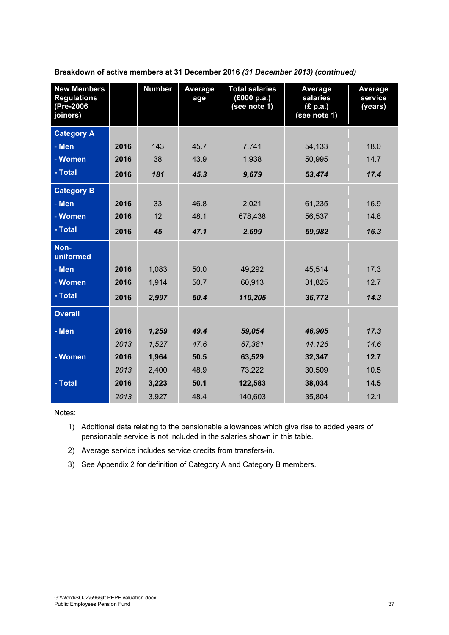| <b>New Members</b><br><b>Regulations</b><br>(Pre-2006<br>joiners) |      | <b>Number</b> | Average<br>age | <b>Total salaries</b><br>(E000 p.a.)<br>(see note 1) | Average<br>salaries<br>(£ p.a.)<br>(see note 1) | Average<br>service<br>(years) |
|-------------------------------------------------------------------|------|---------------|----------------|------------------------------------------------------|-------------------------------------------------|-------------------------------|
| <b>Category A</b>                                                 |      |               |                |                                                      |                                                 |                               |
| - Men                                                             | 2016 | 143           | 45.7           | 7,741                                                | 54,133                                          | 18.0                          |
| - Women                                                           | 2016 | 38            | 43.9           | 1,938                                                | 50,995                                          | 14.7                          |
| - Total                                                           | 2016 | 181           | 45.3           | 9,679                                                | 53,474                                          | 17.4                          |
| <b>Category B</b>                                                 |      |               |                |                                                      |                                                 |                               |
| - Men                                                             | 2016 | 33            | 46.8           | 2,021                                                | 61,235                                          | 16.9                          |
| - Women                                                           | 2016 | 12            | 48.1           | 678,438                                              | 56,537                                          | 14.8                          |
| - Total                                                           | 2016 | 45            | 47.1           | 2,699                                                | 59,982                                          | 16.3                          |
| Non-<br>uniformed                                                 |      |               |                |                                                      |                                                 |                               |
| - Men                                                             | 2016 | 1,083         | 50.0           | 49,292                                               | 45,514                                          | 17.3                          |
| - Women                                                           | 2016 | 1,914         | 50.7           | 60,913                                               | 31,825                                          | 12.7                          |
| - Total                                                           | 2016 | 2,997         | 50.4           | 110,205                                              | 36,772                                          | 14.3                          |
| <b>Overall</b>                                                    |      |               |                |                                                      |                                                 |                               |
| - Men                                                             | 2016 | 1,259         | 49.4           | 59,054                                               | 46,905                                          | 17.3                          |
|                                                                   | 2013 | 1,527         | 47.6           | 67,381                                               | 44,126                                          | 14.6                          |
| - Women                                                           | 2016 | 1,964         | 50.5           | 63,529                                               | 32,347                                          | 12.7                          |
|                                                                   | 2013 | 2,400         | 48.9           | 73,222                                               | 30,509                                          | 10.5                          |
| - Total                                                           | 2016 | 3,223         | 50.1           | 122,583                                              | 38,034                                          | 14.5                          |
|                                                                   | 2013 | 3,927         | 48.4           | 140,603                                              | 35,804                                          | 12.1                          |

**Breakdown of active members at 31 December 2016** *(31 December 2013) (continued)*

Notes:

1) Additional data relating to the pensionable allowances which give rise to added years of pensionable service is not included in the salaries shown in this table.

2) Average service includes service credits from transfers-in.

3) See Appendix 2 for definition of Category A and Category B members.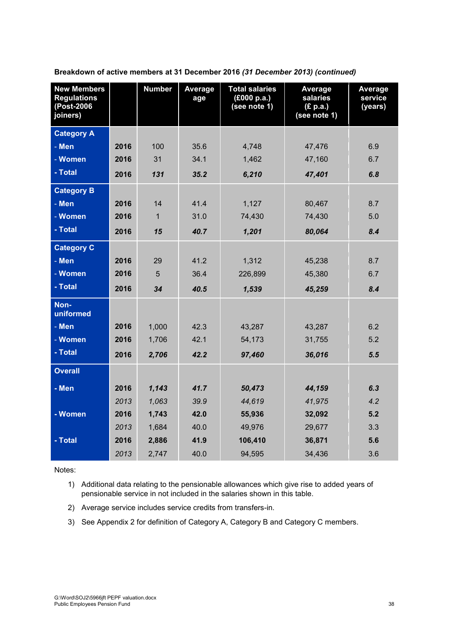| <b>New Members</b><br><b>Regulations</b><br>(Post-2006<br>joiners) |      | <b>Number</b> | Average<br>age | <b>Total salaries</b><br>(£000 p.a.)<br>(see note 1) | Average<br>salaries<br>(E p.a.)<br>(see note 1) | Average<br>service<br>(years) |
|--------------------------------------------------------------------|------|---------------|----------------|------------------------------------------------------|-------------------------------------------------|-------------------------------|
| <b>Category A</b>                                                  |      |               |                |                                                      |                                                 |                               |
| - Men                                                              | 2016 | 100           | 35.6           | 4,748                                                | 47,476                                          | 6.9                           |
| - Women                                                            | 2016 | 31            | 34.1           | 1,462                                                | 47,160                                          | 6.7                           |
| - Total                                                            | 2016 | 131           | 35.2           | 6,210                                                | 47,401                                          | 6.8                           |
| <b>Category B</b>                                                  |      |               |                |                                                      |                                                 |                               |
| - Men                                                              | 2016 | 14            | 41.4           | 1,127                                                | 80,467                                          | 8.7                           |
| - Women                                                            | 2016 | $\mathbf{1}$  | 31.0           | 74,430                                               | 74,430                                          | 5.0                           |
| - Total                                                            | 2016 | 15            | 40.7           | 1,201                                                | 80,064                                          | 8.4                           |
| <b>Category C</b>                                                  |      |               |                |                                                      |                                                 |                               |
| - Men                                                              | 2016 | 29            | 41.2           | 1,312                                                | 45,238                                          | 8.7                           |
| - Women                                                            | 2016 | 5             | 36.4           | 226,899                                              | 45,380                                          | 6.7                           |
| - Total                                                            | 2016 | 34            | 40.5           | 1,539                                                | 45,259                                          | 8.4                           |
| Non-<br>uniformed                                                  |      |               |                |                                                      |                                                 |                               |
| - Men                                                              | 2016 | 1,000         | 42.3           | 43,287                                               | 43,287                                          | 6.2                           |
| - Women                                                            | 2016 | 1,706         | 42.1           | 54,173                                               | 31,755                                          | 5.2                           |
| - Total                                                            | 2016 | 2,706         | 42.2           | 97,460                                               | 36,016                                          | 5.5                           |
| <b>Overall</b>                                                     |      |               |                |                                                      |                                                 |                               |
| - Men                                                              | 2016 | 1,143         | 41.7           | 50,473                                               | 44,159                                          | 6.3                           |
|                                                                    | 2013 | 1,063         | 39.9           | 44,619                                               | 41.975                                          | 4.2                           |
| - Women                                                            | 2016 | 1,743         | 42.0           | 55,936                                               | 32,092                                          | 5.2                           |
|                                                                    | 2013 | 1,684         | 40.0           | 49,976                                               | 29,677                                          | 3.3                           |
| - Total                                                            | 2016 | 2,886         | 41.9           | 106,410                                              | 36,871                                          | 5.6                           |
|                                                                    | 2013 | 2,747         | 40.0           | 94,595                                               | 34,436                                          | 3.6                           |

**Breakdown of active members at 31 December 2016** *(31 December 2013) (continued)*

Notes:

- 1) Additional data relating to the pensionable allowances which give rise to added years of pensionable service in not included in the salaries shown in this table.
- 2) Average service includes service credits from transfers-in.
- 3) See Appendix 2 for definition of Category A, Category B and Category C members.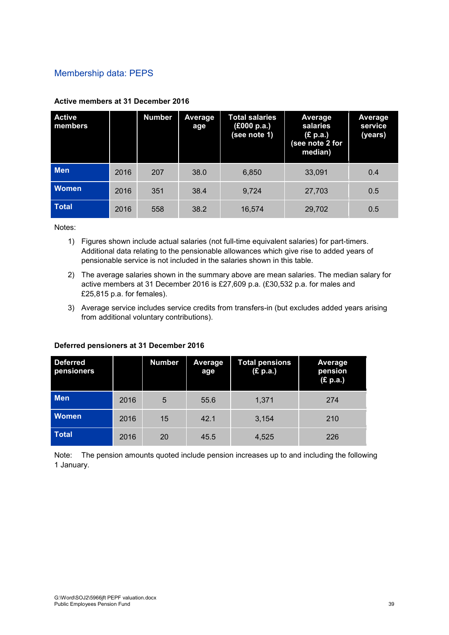## Membership data: PEPS

| <b>Active</b><br>members |      | <b>Number</b> | Average<br>age | <b>Total salaries</b><br>(£000 p.a.)<br>(see note 1) | Average<br>salaries<br>(£ p.a.)<br>(see note 2 for<br>median) | Average<br>service<br>(years) |
|--------------------------|------|---------------|----------------|------------------------------------------------------|---------------------------------------------------------------|-------------------------------|
| <b>Men</b>               | 2016 | 207           | 38.0           | 6.850                                                | 33,091                                                        | 0.4                           |
| <b>Women</b>             | 2016 | 351           | 38.4           | 9,724                                                | 27,703                                                        | 0.5                           |
| <b>Total</b>             | 2016 | 558           | 38.2           | 16,574                                               | 29,702                                                        | 0.5                           |

#### **Active members at 31 December 2016**

Notes:

- 1) Figures shown include actual salaries (not full-time equivalent salaries) for part-timers. Additional data relating to the pensionable allowances which give rise to added years of pensionable service is not included in the salaries shown in this table.
- 2) The average salaries shown in the summary above are mean salaries. The median salary for active members at 31 December 2016 is £27,609 p.a. (£30,532 p.a. for males and £25,815 p.a. for females).
- 3) Average service includes service credits from transfers-in (but excludes added years arising from additional voluntary contributions).

#### **Deferred pensioners at 31 December 2016**

| <b>Deferred</b><br>pensioners |      | <b>Number</b> | Average<br>age | <b>Total pensions</b><br>(£ p.a.) | Average<br>pension<br>(E p.a.) |
|-------------------------------|------|---------------|----------------|-----------------------------------|--------------------------------|
| <b>Men</b>                    | 2016 | 5             | 55.6           | 1,371                             | 274                            |
| <b>Women</b>                  | 2016 | 15            | 42.1           | 3,154                             | 210                            |
| Total                         | 2016 | 20            | 45.5           | 4,525                             | 226                            |

Note: The pension amounts quoted include pension increases up to and including the following 1 January.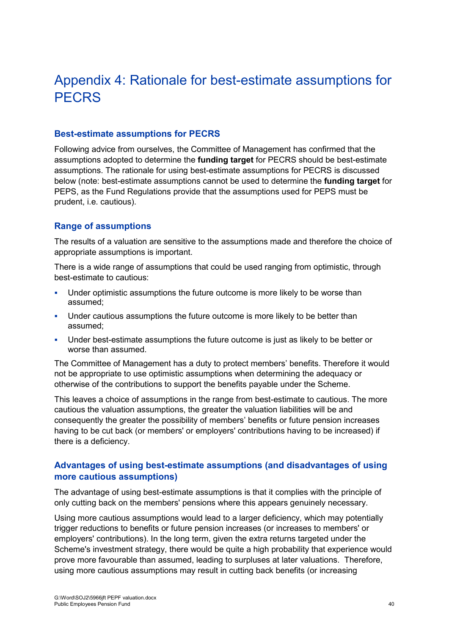# Appendix 4: Rationale for best-estimate assumptions for **PFCRS**

#### **Best-estimate assumptions for PECRS**

Following advice from ourselves, the Committee of Management has confirmed that the assumptions adopted to determine the **funding target** for PECRS should be best-estimate assumptions. The rationale for using best-estimate assumptions for PECRS is discussed below (note: best-estimate assumptions cannot be used to determine the **funding target** for PEPS, as the Fund Regulations provide that the assumptions used for PEPS must be prudent, i.e. cautious).

#### **Range of assumptions**

The results of a valuation are sensitive to the assumptions made and therefore the choice of appropriate assumptions is important.

There is a wide range of assumptions that could be used ranging from optimistic, through best-estimate to cautious:

- **Under optimistic assumptions the future outcome is more likely to be worse than** assumed;
- **Under cautious assumptions the future outcome is more likely to be better than** assumed;
- Under best-estimate assumptions the future outcome is just as likely to be better or worse than assumed.

The Committee of Management has a duty to protect members' benefits. Therefore it would not be appropriate to use optimistic assumptions when determining the adequacy or otherwise of the contributions to support the benefits payable under the Scheme.

This leaves a choice of assumptions in the range from best-estimate to cautious. The more cautious the valuation assumptions, the greater the valuation liabilities will be and consequently the greater the possibility of members' benefits or future pension increases having to be cut back (or members' or employers' contributions having to be increased) if there is a deficiency.

### **Advantages of using best-estimate assumptions (and disadvantages of using more cautious assumptions)**

The advantage of using best-estimate assumptions is that it complies with the principle of only cutting back on the members' pensions where this appears genuinely necessary.

Using more cautious assumptions would lead to a larger deficiency, which may potentially trigger reductions to benefits or future pension increases (or increases to members' or employers' contributions). In the long term, given the extra returns targeted under the Scheme's investment strategy, there would be quite a high probability that experience would prove more favourable than assumed, leading to surpluses at later valuations. Therefore, using more cautious assumptions may result in cutting back benefits (or increasing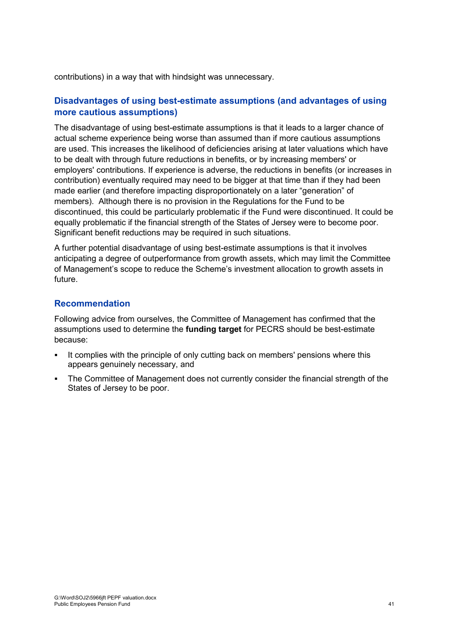contributions) in a way that with hindsight was unnecessary.

## **Disadvantages of using best-estimate assumptions (and advantages of using more cautious assumptions)**

The disadvantage of using best-estimate assumptions is that it leads to a larger chance of actual scheme experience being worse than assumed than if more cautious assumptions are used. This increases the likelihood of deficiencies arising at later valuations which have to be dealt with through future reductions in benefits, or by increasing members' or employers' contributions. If experience is adverse, the reductions in benefits (or increases in contribution) eventually required may need to be bigger at that time than if they had been made earlier (and therefore impacting disproportionately on a later "generation" of members). Although there is no provision in the Regulations for the Fund to be discontinued, this could be particularly problematic if the Fund were discontinued. It could be equally problematic if the financial strength of the States of Jersey were to become poor. Significant benefit reductions may be required in such situations.

A further potential disadvantage of using best-estimate assumptions is that it involves anticipating a degree of outperformance from growth assets, which may limit the Committee of Management's scope to reduce the Scheme's investment allocation to growth assets in future.

### **Recommendation**

Following advice from ourselves, the Committee of Management has confirmed that the assumptions used to determine the **funding target** for PECRS should be best-estimate because:

- It complies with the principle of only cutting back on members' pensions where this appears genuinely necessary, and
- The Committee of Management does not currently consider the financial strength of the States of Jersey to be poor.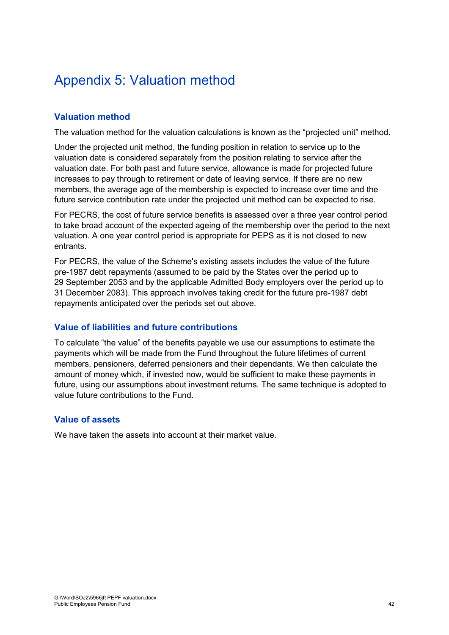# Appendix 5: Valuation method

## **Valuation method**

The valuation method for the valuation calculations is known as the "projected unit" method.

Under the projected unit method, the funding position in relation to service up to the valuation date is considered separately from the position relating to service after the valuation date. For both past and future service, allowance is made for projected future increases to pay through to retirement or date of leaving service. If there are no new members, the average age of the membership is expected to increase over time and the future service contribution rate under the projected unit method can be expected to rise.

For PECRS, the cost of future service benefits is assessed over a three year control period to take broad account of the expected ageing of the membership over the period to the next valuation. A one year control period is appropriate for PEPS as it is not closed to new entrants.

For PECRS, the value of the Scheme's existing assets includes the value of the future pre-1987 debt repayments (assumed to be paid by the States over the period up to 29 September 2053 and by the applicable Admitted Body employers over the period up to 31 December 2083). This approach involves taking credit for the future pre-1987 debt repayments anticipated over the periods set out above.

### **Value of liabilities and future contributions**

To calculate "the value" of the benefits payable we use our assumptions to estimate the payments which will be made from the Fund throughout the future lifetimes of current members, pensioners, deferred pensioners and their dependants. We then calculate the amount of money which, if invested now, would be sufficient to make these payments in future, using our assumptions about investment returns. The same technique is adopted to value future contributions to the Fund.

### **Value of assets**

We have taken the assets into account at their market value.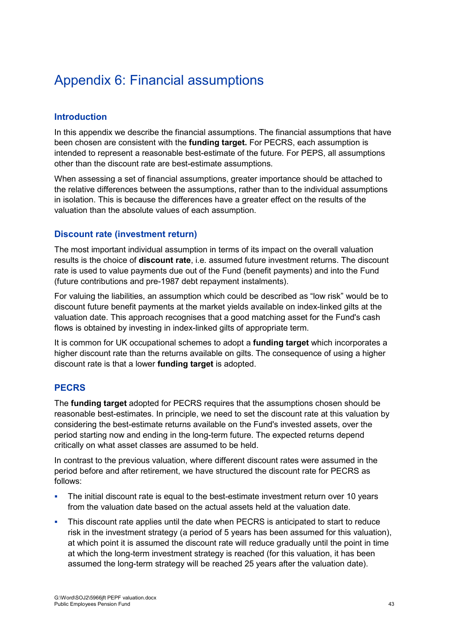# Appendix 6: Financial assumptions

## **Introduction**

In this appendix we describe the financial assumptions. The financial assumptions that have been chosen are consistent with the **funding target.** For PECRS, each assumption is intended to represent a reasonable best-estimate of the future. For PEPS, all assumptions other than the discount rate are best-estimate assumptions.

When assessing a set of financial assumptions, greater importance should be attached to the relative differences between the assumptions, rather than to the individual assumptions in isolation. This is because the differences have a greater effect on the results of the valuation than the absolute values of each assumption.

### **Discount rate (investment return)**

The most important individual assumption in terms of its impact on the overall valuation results is the choice of **discount rate**, i.e. assumed future investment returns. The discount rate is used to value payments due out of the Fund (benefit payments) and into the Fund (future contributions and pre-1987 debt repayment instalments).

For valuing the liabilities, an assumption which could be described as "low risk" would be to discount future benefit payments at the market yields available on index-linked gilts at the valuation date. This approach recognises that a good matching asset for the Fund's cash flows is obtained by investing in index-linked gilts of appropriate term.

It is common for UK occupational schemes to adopt a **funding target** which incorporates a higher discount rate than the returns available on gilts. The consequence of using a higher discount rate is that a lower **funding target** is adopted.

### **PECRS**

The **funding target** adopted for PECRS requires that the assumptions chosen should be reasonable best-estimates. In principle, we need to set the discount rate at this valuation by considering the best-estimate returns available on the Fund's invested assets, over the period starting now and ending in the long-term future. The expected returns depend critically on what asset classes are assumed to be held.

In contrast to the previous valuation, where different discount rates were assumed in the period before and after retirement, we have structured the discount rate for PECRS as follows:

- The initial discount rate is equal to the best-estimate investment return over 10 years from the valuation date based on the actual assets held at the valuation date.
- This discount rate applies until the date when PECRS is anticipated to start to reduce risk in the investment strategy (a period of 5 years has been assumed for this valuation), at which point it is assumed the discount rate will reduce gradually until the point in time at which the long-term investment strategy is reached (for this valuation, it has been assumed the long-term strategy will be reached 25 years after the valuation date).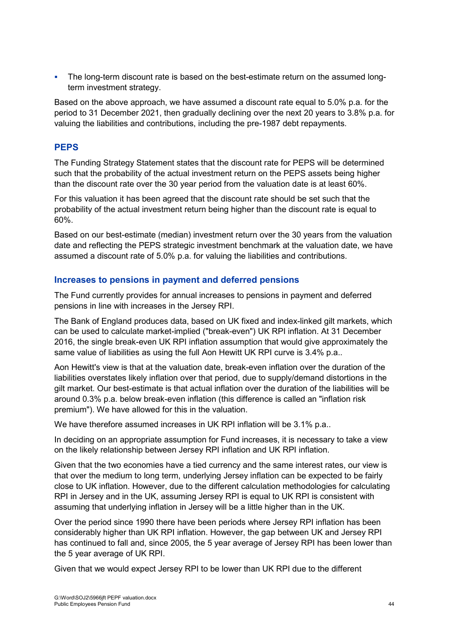The long-term discount rate is based on the best-estimate return on the assumed longterm investment strategy.

Based on the above approach, we have assumed a discount rate equal to 5.0% p.a. for the period to 31 December 2021, then gradually declining over the next 20 years to 3.8% p.a. for valuing the liabilities and contributions, including the pre-1987 debt repayments.

## **PEPS**

The Funding Strategy Statement states that the discount rate for PEPS will be determined such that the probability of the actual investment return on the PEPS assets being higher than the discount rate over the 30 year period from the valuation date is at least 60%.

For this valuation it has been agreed that the discount rate should be set such that the probability of the actual investment return being higher than the discount rate is equal to 60%.

Based on our best-estimate (median) investment return over the 30 years from the valuation date and reflecting the PEPS strategic investment benchmark at the valuation date, we have assumed a discount rate of 5.0% p.a. for valuing the liabilities and contributions.

## **Increases to pensions in payment and deferred pensions**

The Fund currently provides for annual increases to pensions in payment and deferred pensions in line with increases in the Jersey RPI.

The Bank of England produces data, based on UK fixed and index-linked gilt markets, which can be used to calculate market-implied ("break-even") UK RPI inflation. At 31 December 2016, the single break-even UK RPI inflation assumption that would give approximately the same value of liabilities as using the full Aon Hewitt UK RPI curve is 3.4% p.a..

Aon Hewitt's view is that at the valuation date, break-even inflation over the duration of the liabilities overstates likely inflation over that period, due to supply/demand distortions in the gilt market. Our best-estimate is that actual inflation over the duration of the liabilities will be around 0.3% p.a. below break-even inflation (this difference is called an "inflation risk premium"). We have allowed for this in the valuation.

We have therefore assumed increases in UK RPI inflation will be 3.1% p.a..

In deciding on an appropriate assumption for Fund increases, it is necessary to take a view on the likely relationship between Jersey RPI inflation and UK RPI inflation.

Given that the two economies have a tied currency and the same interest rates, our view is that over the medium to long term, underlying Jersey inflation can be expected to be fairly close to UK inflation. However, due to the different calculation methodologies for calculating RPI in Jersey and in the UK, assuming Jersey RPI is equal to UK RPI is consistent with assuming that underlying inflation in Jersey will be a little higher than in the UK.

Over the period since 1990 there have been periods where Jersey RPI inflation has been considerably higher than UK RPI inflation. However, the gap between UK and Jersey RPI has continued to fall and, since 2005, the 5 year average of Jersey RPI has been lower than the 5 year average of UK RPI.

Given that we would expect Jersey RPI to be lower than UK RPI due to the different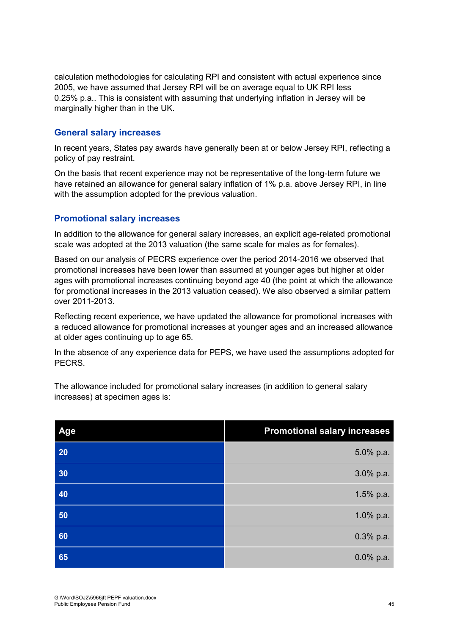calculation methodologies for calculating RPI and consistent with actual experience since 2005, we have assumed that Jersey RPI will be on average equal to UK RPI less 0.25% p.a.. This is consistent with assuming that underlying inflation in Jersey will be marginally higher than in the UK.

### **General salary increases**

In recent years, States pay awards have generally been at or below Jersey RPI, reflecting a policy of pay restraint.

On the basis that recent experience may not be representative of the long-term future we have retained an allowance for general salary inflation of 1% p.a. above Jersey RPI, in line with the assumption adopted for the previous valuation.

## **Promotional salary increases**

In addition to the allowance for general salary increases, an explicit age-related promotional scale was adopted at the 2013 valuation (the same scale for males as for females).

Based on our analysis of PECRS experience over the period 2014-2016 we observed that promotional increases have been lower than assumed at younger ages but higher at older ages with promotional increases continuing beyond age 40 (the point at which the allowance for promotional increases in the 2013 valuation ceased). We also observed a similar pattern over 2011-2013.

Reflecting recent experience, we have updated the allowance for promotional increases with a reduced allowance for promotional increases at younger ages and an increased allowance at older ages continuing up to age 65.

In the absence of any experience data for PEPS, we have used the assumptions adopted for PECRS.

| Age | <b>Promotional salary increases</b> |
|-----|-------------------------------------|
| 20  | 5.0% p.a.                           |
| 30  | 3.0% p.a.                           |
| 40  | 1.5% p.a.                           |
| 50  | 1.0% p.a.                           |
| 60  | $0.3%$ p.a.                         |
| 65  | $0.0\%$ p.a.                        |

The allowance included for promotional salary increases (in addition to general salary increases) at specimen ages is: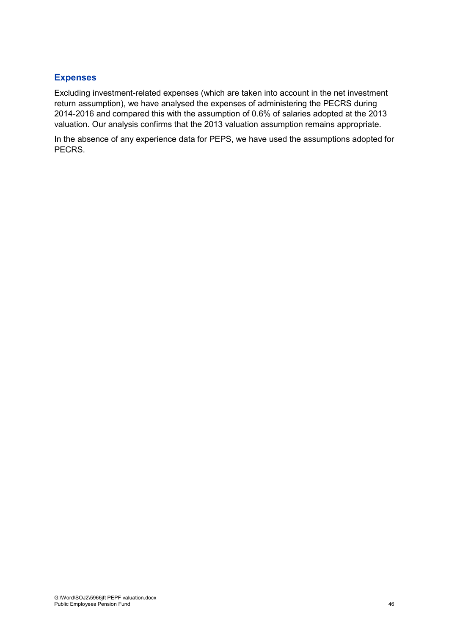### **Expenses**

Excluding investment-related expenses (which are taken into account in the net investment return assumption), we have analysed the expenses of administering the PECRS during 2014-2016 and compared this with the assumption of 0.6% of salaries adopted at the 2013 valuation. Our analysis confirms that the 2013 valuation assumption remains appropriate.

In the absence of any experience data for PEPS, we have used the assumptions adopted for PECRS.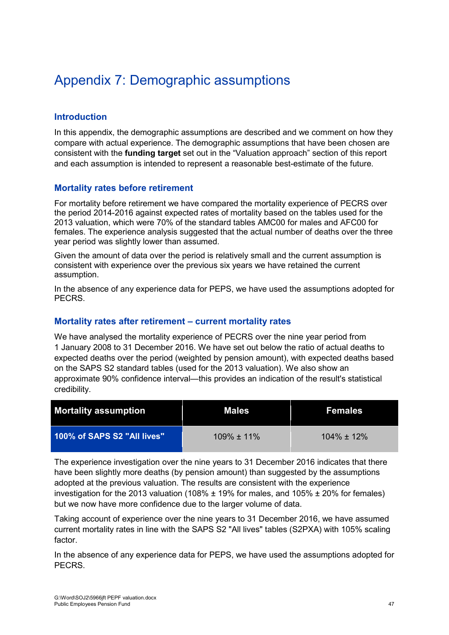# Appendix 7: Demographic assumptions

## **Introduction**

In this appendix, the demographic assumptions are described and we comment on how they compare with actual experience. The demographic assumptions that have been chosen are consistent with the **funding target** set out in the "Valuation approach" section of this report and each assumption is intended to represent a reasonable best-estimate of the future.

### **Mortality rates before retirement**

For mortality before retirement we have compared the mortality experience of PECRS over the period 2014-2016 against expected rates of mortality based on the tables used for the 2013 valuation, which were 70% of the standard tables AMC00 for males and AFC00 for females. The experience analysis suggested that the actual number of deaths over the three year period was slightly lower than assumed.

Given the amount of data over the period is relatively small and the current assumption is consistent with experience over the previous six years we have retained the current assumption.

In the absence of any experience data for PEPS, we have used the assumptions adopted for PECRS.

### **Mortality rates after retirement – current mortality rates**

We have analysed the mortality experience of PECRS over the nine year period from 1 January 2008 to 31 December 2016. We have set out below the ratio of actual deaths to expected deaths over the period (weighted by pension amount), with expected deaths based on the SAPS S2 standard tables (used for the 2013 valuation). We also show an approximate 90% confidence interval—this provides an indication of the result's statistical credibility.

| <b>Mortality assumption</b> | Males            | <b>Females</b>   |
|-----------------------------|------------------|------------------|
| 100% of SAPS S2 "All lives" | $109\% \pm 11\%$ | $104\% \pm 12\%$ |

The experience investigation over the nine years to 31 December 2016 indicates that there have been slightly more deaths (by pension amount) than suggested by the assumptions adopted at the previous valuation. The results are consistent with the experience investigation for the 2013 valuation (108%  $\pm$  19% for males, and 105%  $\pm$  20% for females) but we now have more confidence due to the larger volume of data.

Taking account of experience over the nine years to 31 December 2016, we have assumed current mortality rates in line with the SAPS S2 "All lives" tables (S2PXA) with 105% scaling factor.

In the absence of any experience data for PEPS, we have used the assumptions adopted for PECRS.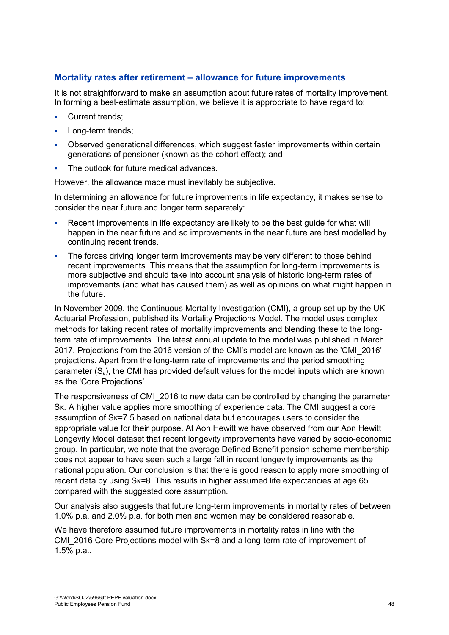### **Mortality rates after retirement – allowance for future improvements**

It is not straightforward to make an assumption about future rates of mortality improvement. In forming a best-estimate assumption, we believe it is appropriate to have regard to:

- Current trends;
- Long-term trends;
- Observed generational differences, which suggest faster improvements within certain generations of pensioner (known as the cohort effect); and
- The outlook for future medical advances.

However, the allowance made must inevitably be subjective.

In determining an allowance for future improvements in life expectancy, it makes sense to consider the near future and longer term separately:

- Recent improvements in life expectancy are likely to be the best guide for what will happen in the near future and so improvements in the near future are best modelled by continuing recent trends.
- The forces driving longer term improvements may be very different to those behind recent improvements. This means that the assumption for long-term improvements is more subjective and should take into account analysis of historic long-term rates of improvements (and what has caused them) as well as opinions on what might happen in the future.

In November 2009, the Continuous Mortality Investigation (CMI), a group set up by the UK Actuarial Profession, published its Mortality Projections Model. The model uses complex methods for taking recent rates of mortality improvements and blending these to the longterm rate of improvements. The latest annual update to the model was published in March 2017. Projections from the 2016 version of the CMI's model are known as the 'CMI\_2016' projections. Apart from the long-term rate of improvements and the period smoothing parameter  $(S_k)$ , the CMI has provided default values for the model inputs which are known as the 'Core Projections'.

The responsiveness of CMI\_2016 to new data can be controlled by changing the parameter Sκ. A higher value applies more smoothing of experience data. The CMI suggest a core assumption of Sκ=7.5 based on national data but encourages users to consider the appropriate value for their purpose. At Aon Hewitt we have observed from our Aon Hewitt Longevity Model dataset that recent longevity improvements have varied by socio-economic group. In particular, we note that the average Defined Benefit pension scheme membership does not appear to have seen such a large fall in recent longevity improvements as the national population. Our conclusion is that there is good reason to apply more smoothing of recent data by using Sκ=8. This results in higher assumed life expectancies at age 65 compared with the suggested core assumption.

Our analysis also suggests that future long-term improvements in mortality rates of between 1.0% p.a. and 2.0% p.a. for both men and women may be considered reasonable.

We have therefore assumed future improvements in mortality rates in line with the CMI\_2016 Core Projections model with Sk=8 and a long-term rate of improvement of 1.5% p.a..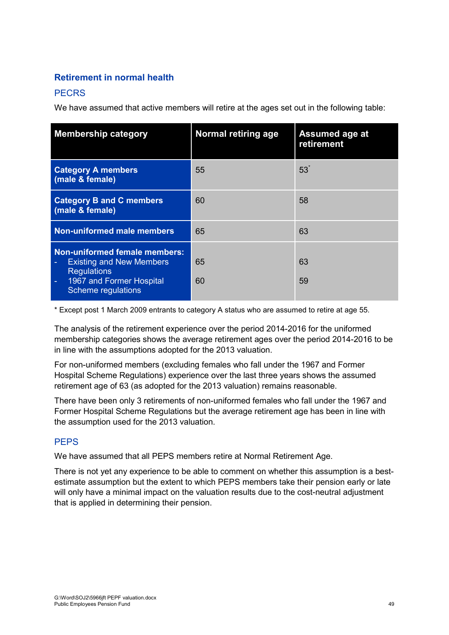## **Retirement in normal health**

## **PECRS**

We have assumed that active members will retire at the ages set out in the following table:

| <b>Membership category</b>                                                                                                                      | <b>Normal retiring age</b> | <b>Assumed age at</b><br>retirement |
|-------------------------------------------------------------------------------------------------------------------------------------------------|----------------------------|-------------------------------------|
| <b>Category A members</b><br>(male & female)                                                                                                    | 55                         | 53 <sup>°</sup>                     |
| <b>Category B and C members</b><br>(male & female)                                                                                              | 60                         | 58                                  |
| <b>Non-uniformed male members</b>                                                                                                               | 65                         | 63                                  |
| <b>Non-uniformed female members:</b><br><b>Existing and New Members</b><br><b>Regulations</b><br>1967 and Former Hospital<br>Scheme regulations | 65<br>60                   | 63<br>59                            |

\* Except post 1 March 2009 entrants to category A status who are assumed to retire at age 55.

The analysis of the retirement experience over the period 2014-2016 for the uniformed membership categories shows the average retirement ages over the period 2014-2016 to be in line with the assumptions adopted for the 2013 valuation.

For non-uniformed members (excluding females who fall under the 1967 and Former Hospital Scheme Regulations) experience over the last three years shows the assumed retirement age of 63 (as adopted for the 2013 valuation) remains reasonable.

There have been only 3 retirements of non-uniformed females who fall under the 1967 and Former Hospital Scheme Regulations but the average retirement age has been in line with the assumption used for the 2013 valuation.

### **PEPS**

We have assumed that all PEPS members retire at Normal Retirement Age.

There is not yet any experience to be able to comment on whether this assumption is a bestestimate assumption but the extent to which PEPS members take their pension early or late will only have a minimal impact on the valuation results due to the cost-neutral adjustment that is applied in determining their pension.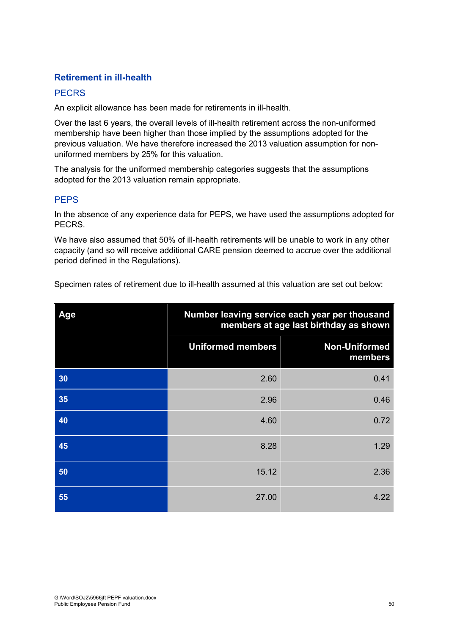## **Retirement in ill-health**

## **PECRS**

An explicit allowance has been made for retirements in ill-health.

Over the last 6 years, the overall levels of ill-health retirement across the non-uniformed membership have been higher than those implied by the assumptions adopted for the previous valuation. We have therefore increased the 2013 valuation assumption for nonuniformed members by 25% for this valuation.

The analysis for the uniformed membership categories suggests that the assumptions adopted for the 2013 valuation remain appropriate.

## **PFPS**

In the absence of any experience data for PEPS, we have used the assumptions adopted for PECRS.

We have also assumed that 50% of ill-health retirements will be unable to work in any other capacity (and so will receive additional CARE pension deemed to accrue over the additional period defined in the Regulations).

Specimen rates of retirement due to ill-health assumed at this valuation are set out below:

| Age | Number leaving service each year per thousand<br>members at age last birthday as shown |                                 |
|-----|----------------------------------------------------------------------------------------|---------------------------------|
|     | <b>Uniformed members</b>                                                               | <b>Non-Uniformed</b><br>members |
| 30  | 2.60                                                                                   | 0.41                            |
| 35  | 2.96                                                                                   | 0.46                            |
| 40  | 4.60                                                                                   | 0.72                            |
| 45  | 8.28                                                                                   | 1.29                            |
| 50  | 15.12                                                                                  | 2.36                            |
| 55  | 27.00                                                                                  | 4.22                            |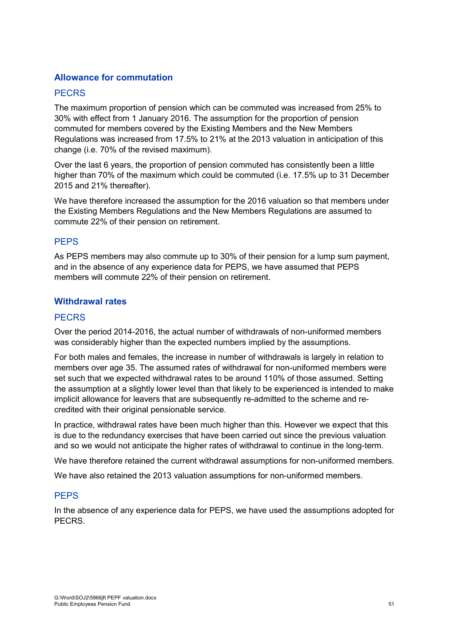### **Allowance for commutation**

#### **PECRS**

The maximum proportion of pension which can be commuted was increased from 25% to 30% with effect from 1 January 2016. The assumption for the proportion of pension commuted for members covered by the Existing Members and the New Members Regulations was increased from 17.5% to 21% at the 2013 valuation in anticipation of this change (i.e. 70% of the revised maximum).

Over the last 6 years, the proportion of pension commuted has consistently been a little higher than 70% of the maximum which could be commuted (i.e. 17.5% up to 31 December 2015 and 21% thereafter).

We have therefore increased the assumption for the 2016 valuation so that members under the Existing Members Regulations and the New Members Regulations are assumed to commute 22% of their pension on retirement.

#### **PFPS**

As PEPS members may also commute up to 30% of their pension for a lump sum payment, and in the absence of any experience data for PEPS, we have assumed that PEPS members will commute 22% of their pension on retirement.

#### **Withdrawal rates**

#### **PECRS**

Over the period 2014-2016, the actual number of withdrawals of non-uniformed members was considerably higher than the expected numbers implied by the assumptions.

For both males and females, the increase in number of withdrawals is largely in relation to members over age 35. The assumed rates of withdrawal for non-uniformed members were set such that we expected withdrawal rates to be around 110% of those assumed. Setting the assumption at a slightly lower level than that likely to be experienced is intended to make implicit allowance for leavers that are subsequently re-admitted to the scheme and recredited with their original pensionable service.

In practice, withdrawal rates have been much higher than this. However we expect that this is due to the redundancy exercises that have been carried out since the previous valuation and so we would not anticipate the higher rates of withdrawal to continue in the long-term.

We have therefore retained the current withdrawal assumptions for non-uniformed members.

We have also retained the 2013 valuation assumptions for non-uniformed members.

#### **PEPS**

In the absence of any experience data for PEPS, we have used the assumptions adopted for PECRS.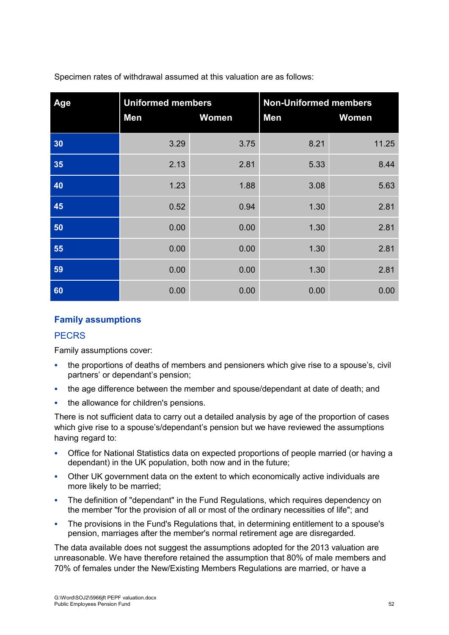| Age | <b>Uniformed members</b><br>Men | Women | <b>Non-Uniformed members</b><br>Men | <b>Women</b> |
|-----|---------------------------------|-------|-------------------------------------|--------------|
| 30  | 3.29                            | 3.75  | 8.21                                | 11.25        |
| 35  | 2.13                            | 2.81  | 5.33                                | 8.44         |
| 40  | 1.23                            | 1.88  | 3.08                                | 5.63         |
| 45  | 0.52                            | 0.94  | 1.30                                | 2.81         |
| 50  | 0.00                            | 0.00  | 1.30                                | 2.81         |
| 55  | 0.00                            | 0.00  | 1.30                                | 2.81         |
| 59  | 0.00                            | 0.00  | 1.30                                | 2.81         |
| 60  | 0.00                            | 0.00  | 0.00                                | 0.00         |

Specimen rates of withdrawal assumed at this valuation are as follows:

## **Family assumptions**

#### **PECRS**

Family assumptions cover:

- the proportions of deaths of members and pensioners which give rise to a spouse's, civil partners' or dependant's pension;
- the age difference between the member and spouse/dependant at date of death; and
- the allowance for children's pensions.

There is not sufficient data to carry out a detailed analysis by age of the proportion of cases which give rise to a spouse's/dependant's pension but we have reviewed the assumptions having regard to:

- Office for National Statistics data on expected proportions of people married (or having a dependant) in the UK population, both now and in the future;
- Other UK government data on the extent to which economically active individuals are more likely to be married;
- The definition of "dependant" in the Fund Regulations, which requires dependency on the member "for the provision of all or most of the ordinary necessities of life"; and
- The provisions in the Fund's Regulations that, in determining entitlement to a spouse's pension, marriages after the member's normal retirement age are disregarded.

The data available does not suggest the assumptions adopted for the 2013 valuation are unreasonable. We have therefore retained the assumption that 80% of male members and 70% of females under the New/Existing Members Regulations are married, or have a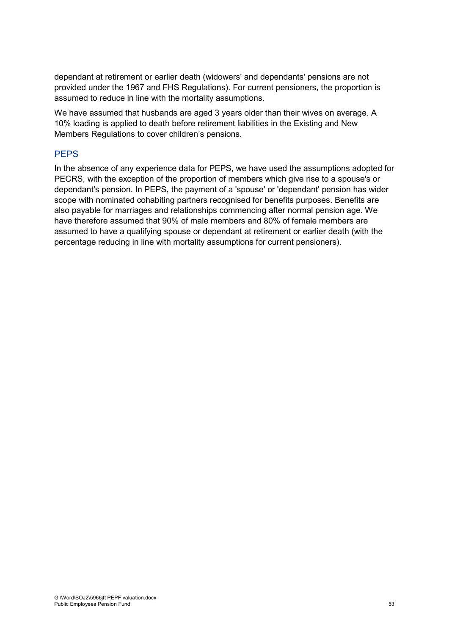dependant at retirement or earlier death (widowers' and dependants' pensions are not provided under the 1967 and FHS Regulations). For current pensioners, the proportion is assumed to reduce in line with the mortality assumptions.

We have assumed that husbands are aged 3 years older than their wives on average. A 10% loading is applied to death before retirement liabilities in the Existing and New Members Regulations to cover children's pensions.

### **PEPS**

In the absence of any experience data for PEPS, we have used the assumptions adopted for PECRS, with the exception of the proportion of members which give rise to a spouse's or dependant's pension. In PEPS, the payment of a 'spouse' or 'dependant' pension has wider scope with nominated cohabiting partners recognised for benefits purposes. Benefits are also payable for marriages and relationships commencing after normal pension age. We have therefore assumed that 90% of male members and 80% of female members are assumed to have a qualifying spouse or dependant at retirement or earlier death (with the percentage reducing in line with mortality assumptions for current pensioners).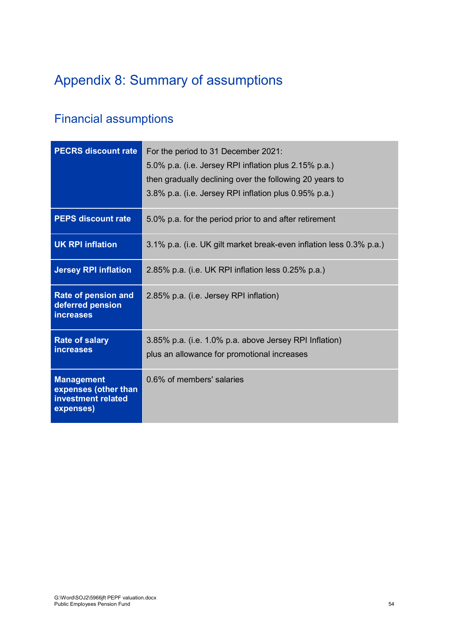# Appendix 8: Summary of assumptions

## Financial assumptions

| <b>PECRS discount rate</b>                                                   | For the period to 31 December 2021:<br>5.0% p.a. (i.e. Jersey RPI inflation plus 2.15% p.a.)<br>then gradually declining over the following 20 years to<br>3.8% p.a. (i.e. Jersey RPI inflation plus 0.95% p.a.) |
|------------------------------------------------------------------------------|------------------------------------------------------------------------------------------------------------------------------------------------------------------------------------------------------------------|
| <b>PEPS discount rate</b>                                                    | 5.0% p.a. for the period prior to and after retirement                                                                                                                                                           |
| <b>UK RPI inflation</b>                                                      | 3.1% p.a. (i.e. UK gilt market break-even inflation less 0.3% p.a.)                                                                                                                                              |
| <b>Jersey RPI inflation</b>                                                  | 2.85% p.a. (i.e. UK RPI inflation less 0.25% p.a.)                                                                                                                                                               |
| Rate of pension and<br>deferred pension<br><b>increases</b>                  | 2.85% p.a. (i.e. Jersey RPI inflation)                                                                                                                                                                           |
| <b>Rate of salary</b><br><i>increases</i>                                    | 3.85% p.a. (i.e. 1.0% p.a. above Jersey RPI Inflation)<br>plus an allowance for promotional increases                                                                                                            |
| <b>Management</b><br>expenses (other than<br>investment related<br>expenses) | 0.6% of members' salaries                                                                                                                                                                                        |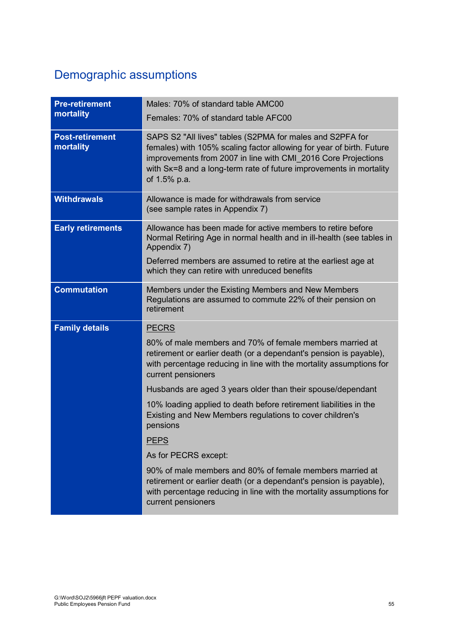# Demographic assumptions

| <b>Pre-retirement</b><br>mortality  | Males: 70% of standard table AMC00<br>Females: 70% of standard table AFC00                                                                                                                                                                                                               |
|-------------------------------------|------------------------------------------------------------------------------------------------------------------------------------------------------------------------------------------------------------------------------------------------------------------------------------------|
| <b>Post-retirement</b><br>mortality | SAPS S2 "All lives" tables (S2PMA for males and S2PFA for<br>females) with 105% scaling factor allowing for year of birth. Future<br>improvements from 2007 in line with CMI_2016 Core Projections<br>with Sk=8 and a long-term rate of future improvements in mortality<br>of 1.5% p.a. |
| <b>Withdrawals</b>                  | Allowance is made for withdrawals from service<br>(see sample rates in Appendix 7)                                                                                                                                                                                                       |
| <b>Early retirements</b>            | Allowance has been made for active members to retire before<br>Normal Retiring Age in normal health and in ill-health (see tables in<br>Appendix 7)                                                                                                                                      |
|                                     | Deferred members are assumed to retire at the earliest age at<br>which they can retire with unreduced benefits                                                                                                                                                                           |
| <b>Commutation</b>                  | Members under the Existing Members and New Members<br>Regulations are assumed to commute 22% of their pension on<br>retirement                                                                                                                                                           |
| <b>Family details</b>               | <b>PECRS</b>                                                                                                                                                                                                                                                                             |
|                                     | 80% of male members and 70% of female members married at<br>retirement or earlier death (or a dependant's pension is payable),<br>with percentage reducing in line with the mortality assumptions for<br>current pensioners                                                              |
|                                     | Husbands are aged 3 years older than their spouse/dependant                                                                                                                                                                                                                              |
|                                     | 10% loading applied to death before retirement liabilities in the<br>Existing and New Members regulations to cover children's<br>pensions                                                                                                                                                |
|                                     | <b>PEPS</b>                                                                                                                                                                                                                                                                              |
|                                     | As for PECRS except:                                                                                                                                                                                                                                                                     |
|                                     | 90% of male members and 80% of female members married at<br>retirement or earlier death (or a dependant's pension is payable),<br>with percentage reducing in line with the mortality assumptions for<br>current pensioners                                                              |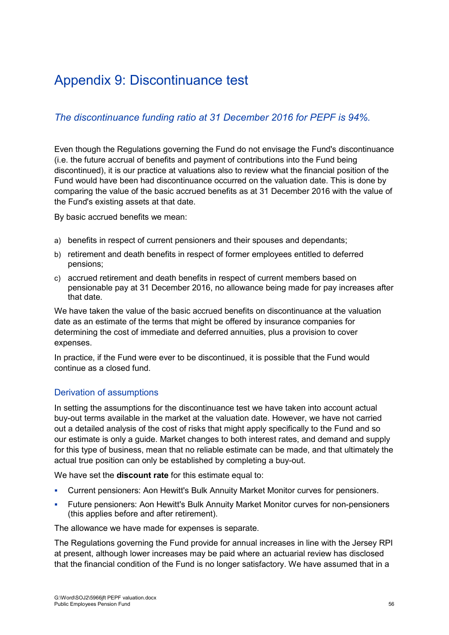# Appendix 9: Discontinuance test

## *The discontinuance funding ratio at 31 December 2016 for PEPF is 94%.*

Even though the Regulations governing the Fund do not envisage the Fund's discontinuance (i.e. the future accrual of benefits and payment of contributions into the Fund being discontinued), it is our practice at valuations also to review what the financial position of the Fund would have been had discontinuance occurred on the valuation date. This is done by comparing the value of the basic accrued benefits as at 31 December 2016 with the value of the Fund's existing assets at that date.

By basic accrued benefits we mean:

- a) benefits in respect of current pensioners and their spouses and dependants;
- b) retirement and death benefits in respect of former employees entitled to deferred pensions;
- c) accrued retirement and death benefits in respect of current members based on pensionable pay at 31 December 2016, no allowance being made for pay increases after that date.

We have taken the value of the basic accrued benefits on discontinuance at the valuation date as an estimate of the terms that might be offered by insurance companies for determining the cost of immediate and deferred annuities, plus a provision to cover expenses.

In practice, if the Fund were ever to be discontinued, it is possible that the Fund would continue as a closed fund.

## Derivation of assumptions

In setting the assumptions for the discontinuance test we have taken into account actual buy-out terms available in the market at the valuation date. However, we have not carried out a detailed analysis of the cost of risks that might apply specifically to the Fund and so our estimate is only a guide. Market changes to both interest rates, and demand and supply for this type of business, mean that no reliable estimate can be made, and that ultimately the actual true position can only be established by completing a buy-out.

We have set the **discount rate** for this estimate equal to:

- Current pensioners: Aon Hewitt's Bulk Annuity Market Monitor curves for pensioners.
- Future pensioners: Aon Hewitt's Bulk Annuity Market Monitor curves for non-pensioners (this applies before and after retirement).

The allowance we have made for expenses is separate.

The Regulations governing the Fund provide for annual increases in line with the Jersey RPI at present, although lower increases may be paid where an actuarial review has disclosed that the financial condition of the Fund is no longer satisfactory. We have assumed that in a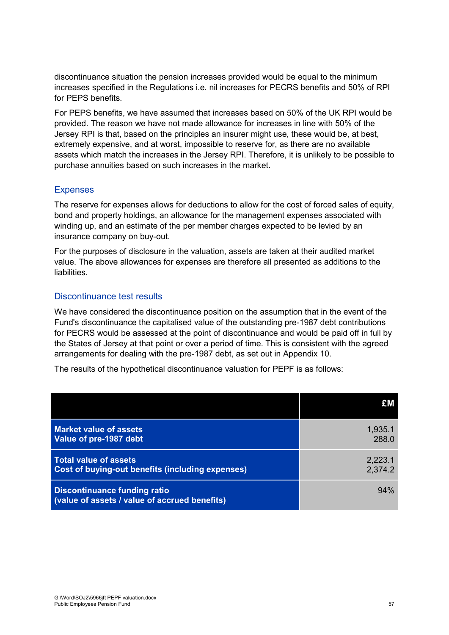discontinuance situation the pension increases provided would be equal to the minimum increases specified in the Regulations i.e. nil increases for PECRS benefits and 50% of RPI for PEPS benefits.

For PEPS benefits, we have assumed that increases based on 50% of the UK RPI would be provided. The reason we have not made allowance for increases in line with 50% of the Jersey RPI is that, based on the principles an insurer might use, these would be, at best, extremely expensive, and at worst, impossible to reserve for, as there are no available assets which match the increases in the Jersey RPI. Therefore, it is unlikely to be possible to purchase annuities based on such increases in the market.

#### Expenses

The reserve for expenses allows for deductions to allow for the cost of forced sales of equity, bond and property holdings, an allowance for the management expenses associated with winding up, and an estimate of the per member charges expected to be levied by an insurance company on buy-out.

For the purposes of disclosure in the valuation, assets are taken at their audited market value. The above allowances for expenses are therefore all presented as additions to the liabilities.

#### Discontinuance test results

We have considered the discontinuance position on the assumption that in the event of the Fund's discontinuance the capitalised value of the outstanding pre-1987 debt contributions for PECRS would be assessed at the point of discontinuance and would be paid off in full by the States of Jersey at that point or over a period of time. This is consistent with the agreed arrangements for dealing with the pre-1987 debt, as set out in Appendix 10.

The results of the hypothetical discontinuance valuation for PEPF is as follows:

|                                                                               | £M      |
|-------------------------------------------------------------------------------|---------|
| <b>Market value of assets</b>                                                 | 1,935.1 |
| Value of pre-1987 debt                                                        | 288.0   |
| <b>Total value of assets</b>                                                  | 2,223.1 |
| <b>Cost of buying-out benefits (including expenses)</b>                       | 2,374.2 |
| Discontinuance funding ratio<br>(value of assets / value of accrued benefits) | 94%     |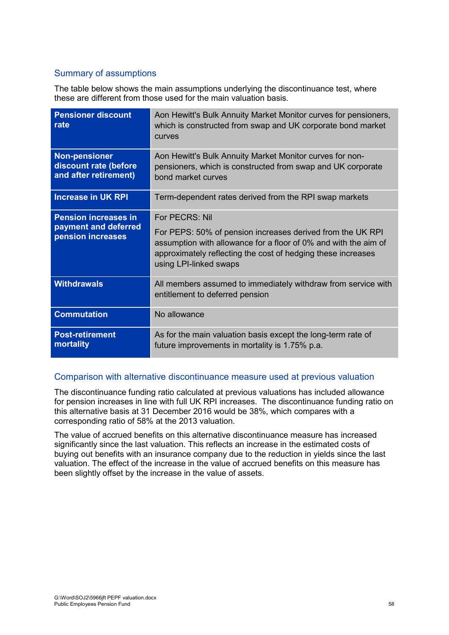## Summary of assumptions

The table below shows the main assumptions underlying the discontinuance test, where these are different from those used for the main valuation basis.

| <b>Pensioner discount</b><br>rate                                        | Aon Hewitt's Bulk Annuity Market Monitor curves for pensioners,<br>which is constructed from swap and UK corporate bond market<br><b>CULVES</b>                                                                                           |
|--------------------------------------------------------------------------|-------------------------------------------------------------------------------------------------------------------------------------------------------------------------------------------------------------------------------------------|
| <b>Non-pensioner</b><br>discount rate (before<br>and after retirement)   | Aon Hewitt's Bulk Annuity Market Monitor curves for non-<br>pensioners, which is constructed from swap and UK corporate<br>bond market curves                                                                                             |
| <b>Increase in UK RPI</b>                                                | Term-dependent rates derived from the RPI swap markets                                                                                                                                                                                    |
| <b>Pension increases in</b><br>payment and deferred<br>pension increases | For PECRS: Nil<br>For PEPS: 50% of pension increases derived from the UK RPI<br>assumption with allowance for a floor of 0% and with the aim of<br>approximately reflecting the cost of hedging these increases<br>using LPI-linked swaps |
| <b>Withdrawals</b>                                                       | All members assumed to immediately withdraw from service with<br>entitlement to deferred pension                                                                                                                                          |
| <b>Commutation</b>                                                       | No allowance                                                                                                                                                                                                                              |
| <b>Post-retirement</b><br>mortality                                      | As for the main valuation basis except the long-term rate of<br>future improvements in mortality is 1.75% p.a.                                                                                                                            |

### Comparison with alternative discontinuance measure used at previous valuation

The discontinuance funding ratio calculated at previous valuations has included allowance for pension increases in line with full UK RPI increases. The discontinuance funding ratio on this alternative basis at 31 December 2016 would be 38%, which compares with a corresponding ratio of 58% at the 2013 valuation.

The value of accrued benefits on this alternative discontinuance measure has increased significantly since the last valuation. This reflects an increase in the estimated costs of buying out benefits with an insurance company due to the reduction in yields since the last valuation. The effect of the increase in the value of accrued benefits on this measure has been slightly offset by the increase in the value of assets.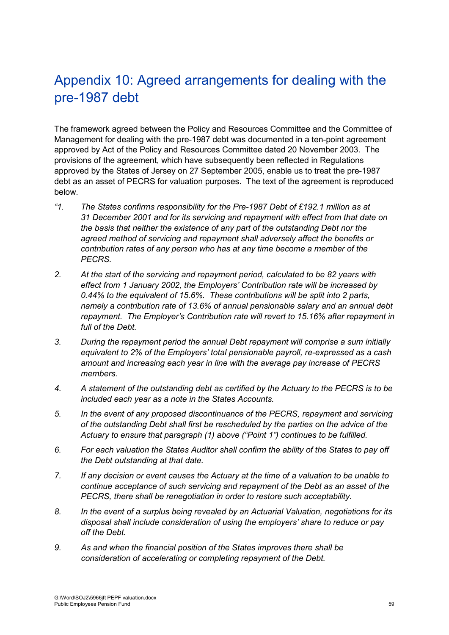# Appendix 10: Agreed arrangements for dealing with the pre-1987 debt

The framework agreed between the Policy and Resources Committee and the Committee of Management for dealing with the pre-1987 debt was documented in a ten-point agreement approved by Act of the Policy and Resources Committee dated 20 November 2003. The provisions of the agreement, which have subsequently been reflected in Regulations approved by the States of Jersey on 27 September 2005, enable us to treat the pre-1987 debt as an asset of PECRS for valuation purposes. The text of the agreement is reproduced below.

- *"1. The States confirms responsibility for the Pre-1987 Debt of £192.1 million as at 31 December 2001 and for its servicing and repayment with effect from that date on the basis that neither the existence of any part of the outstanding Debt nor the agreed method of servicing and repayment shall adversely affect the benefits or contribution rates of any person who has at any time become a member of the PECRS.*
- *2. At the start of the servicing and repayment period, calculated to be 82 years with effect from 1 January 2002, the Employers' Contribution rate will be increased by 0.44% to the equivalent of 15.6%. These contributions will be split into 2 parts, namely a contribution rate of 13.6% of annual pensionable salary and an annual debt repayment. The Employer's Contribution rate will revert to 15.16% after repayment in full of the Debt.*
- *3. During the repayment period the annual Debt repayment will comprise a sum initially equivalent to 2% of the Employers' total pensionable payroll, re-expressed as a cash amount and increasing each year in line with the average pay increase of PECRS members.*
- *4. A statement of the outstanding debt as certified by the Actuary to the PECRS is to be included each year as a note in the States Accounts.*
- *5. In the event of any proposed discontinuance of the PECRS, repayment and servicing of the outstanding Debt shall first be rescheduled by the parties on the advice of the Actuary to ensure that paragraph (1) above ("Point 1") continues to be fulfilled.*
- *6. For each valuation the States Auditor shall confirm the ability of the States to pay off the Debt outstanding at that date.*
- *7. If any decision or event causes the Actuary at the time of a valuation to be unable to continue acceptance of such servicing and repayment of the Debt as an asset of the PECRS, there shall be renegotiation in order to restore such acceptability.*
- *8. In the event of a surplus being revealed by an Actuarial Valuation, negotiations for its disposal shall include consideration of using the employers' share to reduce or pay off the Debt.*
- *9. As and when the financial position of the States improves there shall be consideration of accelerating or completing repayment of the Debt.*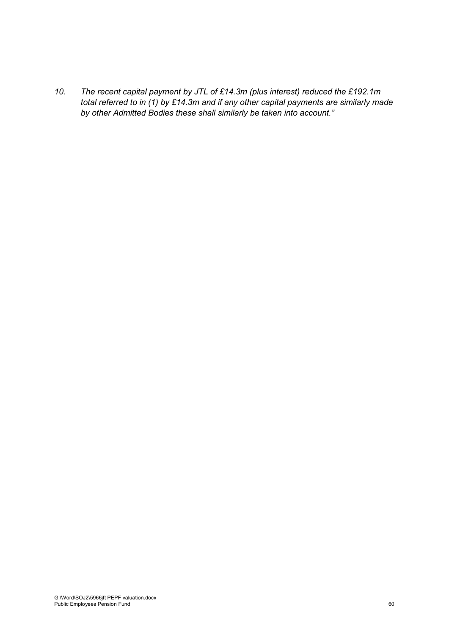*10. The recent capital payment by JTL of £14.3m (plus interest) reduced the £192.1m total referred to in (1) by £14.3m and if any other capital payments are similarly made by other Admitted Bodies these shall similarly be taken into account."*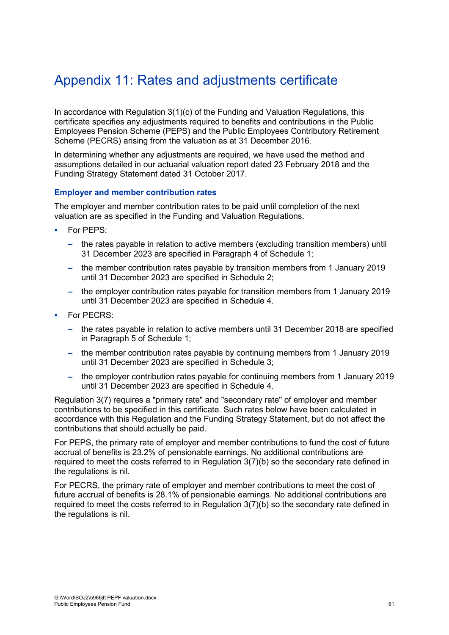# Appendix 11: Rates and adjustments certificate

In accordance with Regulation 3(1)(c) of the Funding and Valuation Regulations, this certificate specifies any adjustments required to benefits and contributions in the Public Employees Pension Scheme (PEPS) and the Public Employees Contributory Retirement Scheme (PECRS) arising from the valuation as at 31 December 2016.

In determining whether any adjustments are required, we have used the method and assumptions detailed in our actuarial valuation report dated 23 February 2018 and the Funding Strategy Statement dated 31 October 2017.

#### **Employer and member contribution rates**

The employer and member contribution rates to be paid until completion of the next valuation are as specified in the Funding and Valuation Regulations.

- For PEPS:
	- **–** the rates payable in relation to active members (excluding transition members) until 31 December 2023 are specified in Paragraph 4 of Schedule 1;
	- **–** the member contribution rates payable by transition members from 1 January 2019 until 31 December 2023 are specified in Schedule 2;
	- **–** the employer contribution rates payable for transition members from 1 January 2019 until 31 December 2023 are specified in Schedule 4.
- For PECRS:
	- **–** the rates payable in relation to active members until 31 December 2018 are specified in Paragraph 5 of Schedule 1;
	- **–** the member contribution rates payable by continuing members from 1 January 2019 until 31 December 2023 are specified in Schedule 3;
	- **–** the employer contribution rates payable for continuing members from 1 January 2019 until 31 December 2023 are specified in Schedule 4.

Regulation 3(7) requires a "primary rate" and "secondary rate" of employer and member contributions to be specified in this certificate. Such rates below have been calculated in accordance with this Regulation and the Funding Strategy Statement, but do not affect the contributions that should actually be paid.

For PEPS, the primary rate of employer and member contributions to fund the cost of future accrual of benefits is 23.2% of pensionable earnings. No additional contributions are required to meet the costs referred to in Regulation 3(7)(b) so the secondary rate defined in the regulations is nil.

For PECRS, the primary rate of employer and member contributions to meet the cost of future accrual of benefits is 28.1% of pensionable earnings. No additional contributions are required to meet the costs referred to in Regulation 3(7)(b) so the secondary rate defined in the regulations is nil.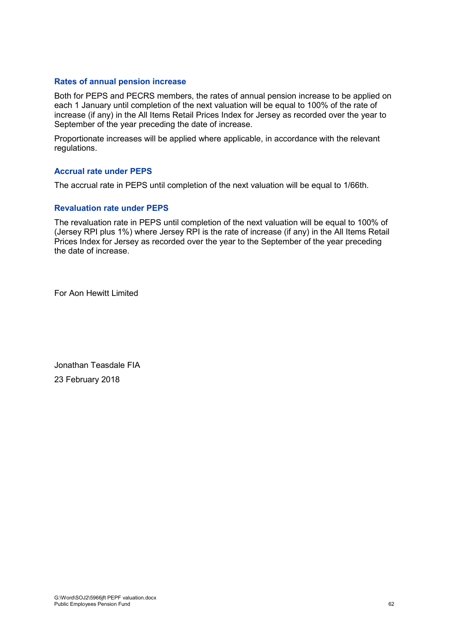#### **Rates of annual pension increase**

Both for PEPS and PECRS members, the rates of annual pension increase to be applied on each 1 January until completion of the next valuation will be equal to 100% of the rate of increase (if any) in the All Items Retail Prices Index for Jersey as recorded over the year to September of the year preceding the date of increase.

Proportionate increases will be applied where applicable, in accordance with the relevant regulations.

#### **Accrual rate under PEPS**

The accrual rate in PEPS until completion of the next valuation will be equal to 1/66th.

#### **Revaluation rate under PEPS**

The revaluation rate in PEPS until completion of the next valuation will be equal to 100% of (Jersey RPI plus 1%) where Jersey RPI is the rate of increase (if any) in the All Items Retail Prices Index for Jersey as recorded over the year to the September of the year preceding the date of increase.

For Aon Hewitt Limited

Jonathan Teasdale FIA 23 February 2018